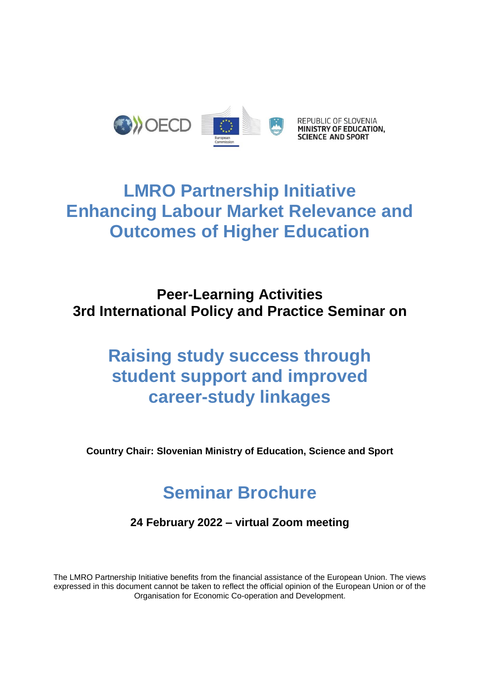

## **LMRO Partnership Initiative Enhancing Labour Market Relevance and Outcomes of Higher Education**

## **Peer-Learning Activities 3rd International Policy and Practice Seminar on**

## **Raising study success through student support and improved career-study linkages**

**Country Chair: Slovenian Ministry of Education, Science and Sport**

## **Seminar Brochure**

**24 February 2022 – virtual Zoom meeting** 

The LMRO Partnership Initiative benefits from the financial assistance of the European Union. The views expressed in this document cannot be taken to reflect the official opinion of the European Union or of the Organisation for Economic Co-operation and Development.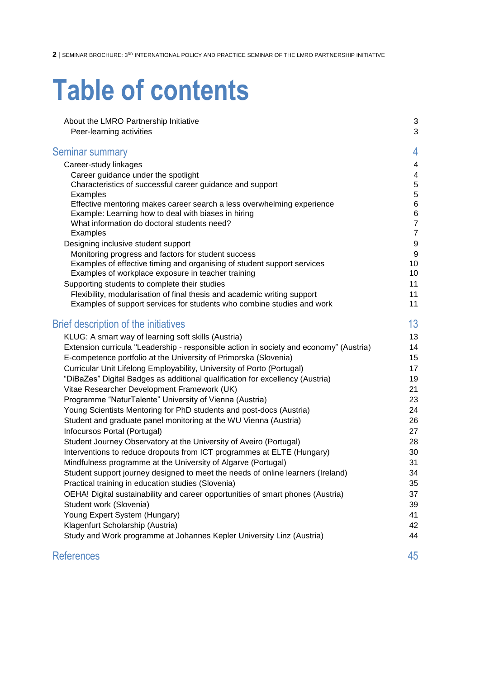# **Table of contents**

| About the LMRO Partnership Initiative<br>Peer-learning activities                                                                       | 3<br>3                  |
|-----------------------------------------------------------------------------------------------------------------------------------------|-------------------------|
| <b>Seminar summary</b>                                                                                                                  | 4                       |
| Career-study linkages                                                                                                                   | $\overline{\mathbf{4}}$ |
| Career guidance under the spotlight                                                                                                     | $\overline{4}$          |
| Characteristics of successful career guidance and support                                                                               | 5                       |
| Examples                                                                                                                                | 5                       |
| Effective mentoring makes career search a less overwhelming experience                                                                  | $\,6$                   |
| Example: Learning how to deal with biases in hiring                                                                                     | $\,6$<br>$\overline{7}$ |
| What information do doctoral students need?<br>Examples                                                                                 | $\overline{7}$          |
| Designing inclusive student support                                                                                                     | $\boldsymbol{9}$        |
| Monitoring progress and factors for student success                                                                                     | 9                       |
| Examples of effective timing and organising of student support services                                                                 | 10                      |
| Examples of workplace exposure in teacher training                                                                                      | 10                      |
| Supporting students to complete their studies                                                                                           | 11                      |
| Flexibility, modularisation of final thesis and academic writing support                                                                | 11                      |
| Examples of support services for students who combine studies and work                                                                  | 11                      |
| Brief description of the initiatives                                                                                                    | 13                      |
| KLUG: A smart way of learning soft skills (Austria)                                                                                     | 13                      |
| Extension curricula "Leadership - responsible action in society and economy" (Austria)                                                  | 14                      |
| E-competence portfolio at the University of Primorska (Slovenia)                                                                        | 15                      |
| Curricular Unit Lifelong Employability, University of Porto (Portugal)                                                                  | 17                      |
| "DiBaZes" Digital Badges as additional qualification for excellency (Austria)                                                           | 19                      |
| Vitae Researcher Development Framework (UK)                                                                                             | 21                      |
| Programme "NaturTalente" University of Vienna (Austria)                                                                                 | 23                      |
| Young Scientists Mentoring for PhD students and post-docs (Austria)                                                                     | 24                      |
| Student and graduate panel monitoring at the WU Vienna (Austria)                                                                        | 26                      |
| Infocursos Portal (Portugal)                                                                                                            | 27                      |
| Student Journey Observatory at the University of Aveiro (Portugal)                                                                      | 28<br>30                |
| Interventions to reduce dropouts from ICT programmes at ELTE (Hungary)<br>Mindfulness programme at the University of Algarve (Portugal) | 31                      |
| Student support journey designed to meet the needs of online learners (Ireland)                                                         | 34                      |
| Practical training in education studies (Slovenia)                                                                                      | 35                      |
| OEHA! Digital sustainability and career opportunities of smart phones (Austria)                                                         | 37                      |
| Student work (Slovenia)                                                                                                                 | 39                      |
| Young Expert System (Hungary)                                                                                                           | 41                      |
| Klagenfurt Scholarship (Austria)                                                                                                        | 42                      |
| Study and Work programme at Johannes Kepler University Linz (Austria)                                                                   | 44                      |
| <b>References</b>                                                                                                                       | 45                      |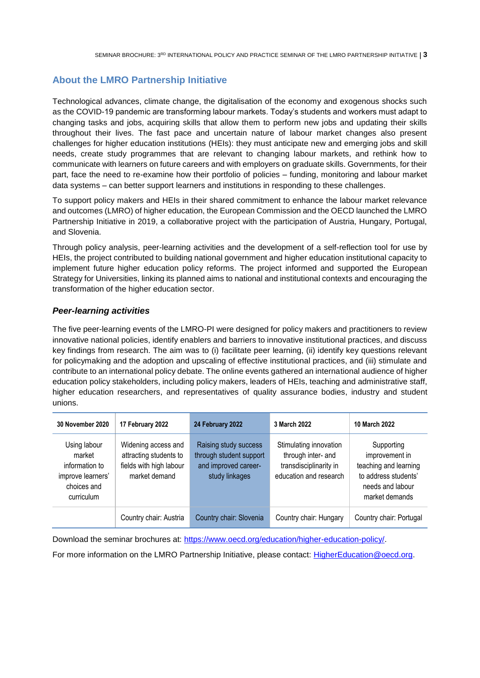## <span id="page-2-0"></span>**About the LMRO Partnership Initiative**

Technological advances, climate change, the digitalisation of the economy and exogenous shocks such as the COVID-19 pandemic are transforming labour markets. Today's students and workers must adapt to changing tasks and jobs, acquiring skills that allow them to perform new jobs and updating their skills throughout their lives. The fast pace and uncertain nature of labour market changes also present challenges for higher education institutions (HEIs): they must anticipate new and emerging jobs and skill needs, create study programmes that are relevant to changing labour markets, and rethink how to communicate with learners on future careers and with employers on graduate skills. Governments, for their part, face the need to re-examine how their portfolio of policies – funding, monitoring and labour market data systems – can better support learners and institutions in responding to these challenges.

To support policy makers and HEIs in their shared commitment to enhance the labour market relevance and outcomes (LMRO) of higher education, the European Commission and the OECD launched the LMRO Partnership Initiative in 2019, a collaborative project with the participation of Austria, Hungary, Portugal, and Slovenia.

Through policy analysis, peer-learning activities and the development of a self-reflection tool for use by HEIs, the project contributed to building national government and higher education institutional capacity to implement future higher education policy reforms. The project informed and supported the European Strategy for Universities, linking its planned aims to national and institutional contexts and encouraging the transformation of the higher education sector.

## <span id="page-2-1"></span>*Peer-learning activities*

The five peer-learning events of the LMRO-PI were designed for policy makers and practitioners to review innovative national policies, identify enablers and barriers to innovative institutional practices, and discuss key findings from research. The aim was to (i) facilitate peer learning, (ii) identify key questions relevant for policymaking and the adoption and upscaling of effective institutional practices, and (iii) stimulate and contribute to an international policy debate. The online events gathered an international audience of higher education policy stakeholders, including policy makers, leaders of HEIs, teaching and administrative staff, higher education researchers, and representatives of quality assurance bodies, industry and student unions.

| <b>30 November 2020</b>                                                                    | 17 February 2022                                                                          | 24 February 2022                                                                           | 3 March 2022                                                                                     | 10 March 2022                                                                                                       |
|--------------------------------------------------------------------------------------------|-------------------------------------------------------------------------------------------|--------------------------------------------------------------------------------------------|--------------------------------------------------------------------------------------------------|---------------------------------------------------------------------------------------------------------------------|
| Using labour<br>market<br>information to<br>improve learners'<br>choices and<br>curriculum | Widening access and<br>attracting students to<br>fields with high labour<br>market demand | Raising study success<br>through student support<br>and improved career-<br>study linkages | Stimulating innovation<br>through inter- and<br>transdisciplinarity in<br>education and research | Supporting<br>improvement in<br>teaching and learning<br>to address students'<br>needs and labour<br>market demands |
|                                                                                            | Country chair: Austria                                                                    | Country chair: Slovenia                                                                    | Country chair: Hungary                                                                           | Country chair: Portugal                                                                                             |

Download the seminar brochures at: [https://www.oecd.org/education/higher-education-policy/.](https://www.oecd.org/education/higher-education-policy/)

For more information on the LMRO Partnership Initiative, please contact: [HigherEducation@oecd.org.](mailto:HigherEducation@oecd.org)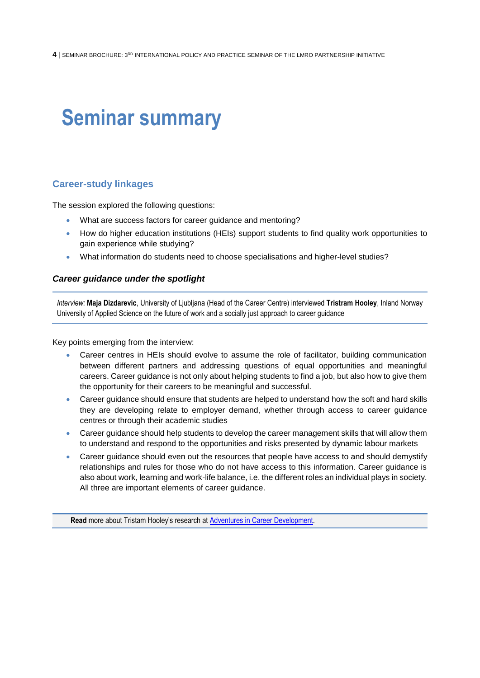## <span id="page-3-0"></span>**Seminar summary**

## <span id="page-3-1"></span>**Career-study linkages**

The session explored the following questions:

- What are success factors for career guidance and mentoring?
- How do higher education institutions (HEIs) support students to find quality work opportunities to gain experience while studying?
- What information do students need to choose specialisations and higher-level studies?

## <span id="page-3-2"></span>*Career guidance under the spotlight*

*Interview:* **Maja Dizdarevic**, University of Ljubljana (Head of the Career Centre) interviewed **Tristram Hooley**, Inland Norway University of Applied Science on the future of work and a socially just approach to career guidance

Key points emerging from the interview:

- Career centres in HEIs should evolve to assume the role of facilitator, building communication between different partners and addressing questions of equal opportunities and meaningful careers. Career guidance is not only about helping students to find a job, but also how to give them the opportunity for their careers to be meaningful and successful.
- Career guidance should ensure that students are helped to understand how the soft and hard skills they are developing relate to employer demand, whether through access to career guidance centres or through their academic studies
- Career guidance should help students to develop the career management skills that will allow them to understand and respond to the opportunities and risks presented by dynamic labour markets
- Career guidance should even out the resources that people have access to and should demystify relationships and rules for those who do not have access to this information. Career guidance is also about work, learning and work-life balance, i.e. the different roles an individual plays in society. All three are important elements of career guidance.

**Read** more about Tristam Hooley's research at [Adventures in Career Development.](https://adventuresincareerdevelopment.wordpress.com/2022/04/04/the-need-for-green-guidance/)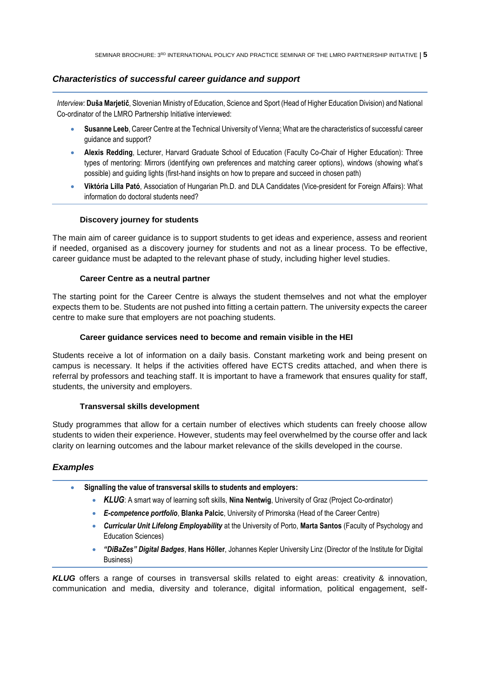## <span id="page-4-0"></span>*Characteristics of successful career guidance and support*

*Interview:* **Duša Marjetič**, Slovenian Ministry of Education, Science and Sport (Head of Higher Education Division) and National Co-ordinator of the LMRO Partnership Initiative interviewed:

- **Susanne Leeb**, Career Centre at the Technical University of Vienna: What are the characteristics of successful career guidance and support?
- **Alexis Redding**, Lecturer, Harvard Graduate School of Education (Faculty Co-Chair of Higher Education): Three types of mentoring: Mirrors (identifying own preferences and matching career options), windows (showing what's possible) and guiding lights (first-hand insights on how to prepare and succeed in chosen path)
- **Viktória Lilla Pató**, Association of Hungarian Ph.D. and DLA Candidates (Vice-president for Foreign Affairs): What information do doctoral students need?

### **Discovery journey for students**

The main aim of career guidance is to support students to get ideas and experience, assess and reorient if needed, organised as a discovery journey for students and not as a linear process. To be effective, career guidance must be adapted to the relevant phase of study, including higher level studies.

#### **Career Centre as a neutral partner**

The starting point for the Career Centre is always the student themselves and not what the employer expects them to be. Students are not pushed into fitting a certain pattern. The university expects the career centre to make sure that employers are not poaching students.

### **Career guidance services need to become and remain visible in the HEI**

Students receive a lot of information on a daily basis. Constant marketing work and being present on campus is necessary. It helps if the activities offered have ECTS credits attached, and when there is referral by professors and teaching staff. It is important to have a framework that ensures quality for staff, students, the university and employers.

#### **Transversal skills development**

Study programmes that allow for a certain number of electives which students can freely choose allow students to widen their experience. However, students may feel overwhelmed by the course offer and lack clarity on learning outcomes and the labour market relevance of the skills developed in the course.

## <span id="page-4-1"></span>*Examples*

- **Signalling the value of transversal skills to students and employers:**
	- *KLUG*: A smart way of learning soft skills, **Nina Nentwig**, University of Graz (Project Co-ordinator)
	- *E-competence portfolio*, **Blanka Palcic**, University of Primorska (Head of the Career Centre)
	- *Curricular Unit Lifelong Employability* at the University of Porto, **Marta Santos** (Faculty of Psychology and Education Sciences)
	- *"DiBaZes" Digital Badges*, **Hans Höller**, Johannes Kepler University Linz (Director of the Institute for Digital Business)

*KLUG* offers a range of courses in transversal skills related to eight areas: creativity & innovation, communication and media, diversity and tolerance, digital information, political engagement, self-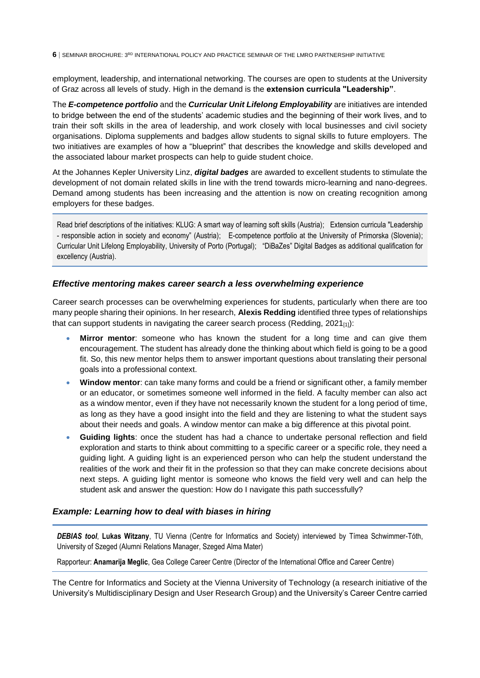employment, leadership, and international networking. The courses are open to students at the University of Graz across all levels of study. High in the demand is the **extension curricula "Leadership"**.

The *E-competence portfolio* and the *Curricular Unit Lifelong Employability* are initiatives are intended to bridge between the end of the students' academic studies and the beginning of their work lives, and to train their soft skills in the area of leadership, and work closely with local businesses and civil society organisations. Diploma supplements and badges allow students to signal skills to future employers. The two initiatives are examples of how a "blueprint" that describes the knowledge and skills developed and the associated labour market prospects can help to guide student choice.

At the Johannes Kepler University Linz, *digital badges* are awarded to excellent students to stimulate the development of not domain related skills in line with the trend towards micro-learning and nano-degrees. Demand among students has been increasing and the attention is now on creating recognition among employers for these badges.

Read brief descriptions of the initiatives: [KLUG: A smart way of learning soft skills \(Austria\);](#page-12-1) [Extension curricula "Leadership](#page-13-0)  - [responsible action in society and economy" \(Austria\)](#page-13-0); [E-competence portfolio at the University of Primorska \(Slovenia\);](#page-14-0)  [Curricular Unit Lifelong Employability, University of Porto](#page-16-0) (Portugal); ["DiBaZes" Digital Badges as additional qualification for](#page-18-0)  [excellency \(Austria\).](#page-18-0)

## <span id="page-5-0"></span>*Effective mentoring makes career search a less overwhelming experience*

Career search processes can be overwhelming experiences for students, particularly when there are too many people sharing their opinions. In her research, **Alexis Redding** identified three types of relationships that can support students in navigating the career search process (Redding,  $2021_{[1]}$ ):

- **Mirror mentor**: someone who has known the student for a long time and can give them encouragement. The student has already done the thinking about which field is going to be a good fit. So, this new mentor helps them to answer important questions about translating their personal goals into a professional context.
- **Window mentor**: can take many forms and could be a friend or significant other, a family member or an educator, or sometimes someone well informed in the field. A faculty member can also act as a window mentor, even if they have not necessarily known the student for a long period of time, as long as they have a good insight into the field and they are listening to what the student says about their needs and goals. A window mentor can make a big difference at this pivotal point.
- **Guiding lights**: once the student has had a chance to undertake personal reflection and field exploration and starts to think about committing to a specific career or a specific role, they need a guiding light. A guiding light is an experienced person who can help the student understand the realities of the work and their fit in the profession so that they can make concrete decisions about next steps. A guiding light mentor is someone who knows the field very well and can help the student ask and answer the question: How do I navigate this path successfully?

## <span id="page-5-1"></span>*Example: Learning how to deal with biases in hiring*

*DEBIAS tool*, **Lukas Witzany**, TU Vienna (Centre for Informatics and Society) interviewed by Tímea Schwimmer-Tóth, University of Szeged (Alumni Relations Manager, Szeged Alma Mater)

Rapporteur: **Anamarija Meglic**, Gea College Career Centre (Director of the International Office and Career Centre)

The Centre for Informatics and Society at the Vienna University of Technology (a research initiative of the University's Multidisciplinary Design and User Research Group) and the University's Career Centre carried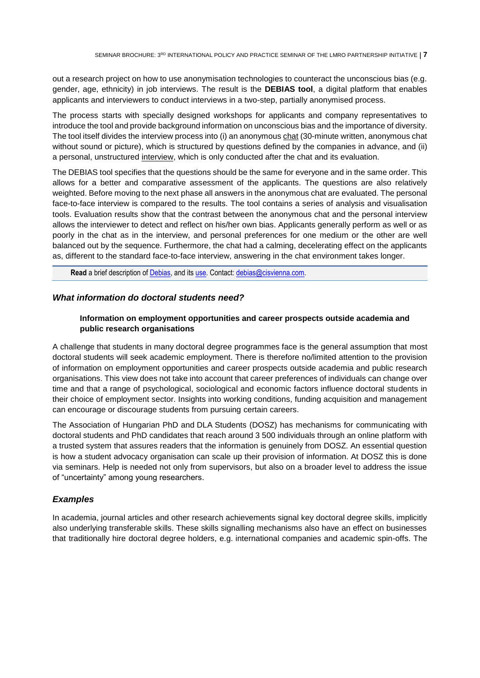out a research project on how to use anonymisation technologies to counteract the unconscious bias (e.g. gender, age, ethnicity) in job interviews. The result is the **DEBIAS tool**, a digital platform that enables applicants and interviewers to conduct interviews in a two-step, partially anonymised process.

The process starts with specially designed workshops for applicants and company representatives to introduce the tool and provide background information on unconscious bias and the importance of diversity. The tool itself divides the interview process into (i) an anonymous chat (30-minute written, anonymous chat without sound or picture), which is structured by questions defined by the companies in advance, and (ii) a personal, unstructured interview, which is only conducted after the chat and its evaluation.

The DEBIAS tool specifies that the questions should be the same for everyone and in the same order. This allows for a better and comparative assessment of the applicants. The questions are also relatively weighted. Before moving to the next phase all answers in the anonymous chat are evaluated. The personal face-to-face interview is compared to the results. The tool contains a series of analysis and visualisation tools. Evaluation results show that the contrast between the anonymous chat and the personal interview allows the interviewer to detect and reflect on his/her own bias. Applicants generally perform as well or as poorly in the chat as in the interview, and personal preferences for one medium or the other are well balanced out by the sequence. Furthermore, the chat had a calming, decelerating effect on the applicants as, different to the standard face-to-face interview, answering in the chat environment takes longer.

**Read** a brief description of [Debias,](https://arbeitgeber.tucareer.com/var/em_plain_site/storage/original/application/df2da1d0d629ba2b0edf3685689537c8.pdf) and it[s use.](https://www.alexandria-magazin.at/magazin/debias.php) Contact: debias@cisvienna.com.

### <span id="page-6-0"></span>*What information do doctoral students need?*

## **Information on employment opportunities and career prospects outside academia and public research organisations**

A challenge that students in many doctoral degree programmes face is the general assumption that most doctoral students will seek academic employment. There is therefore no/limited attention to the provision of information on employment opportunities and career prospects outside academia and public research organisations. This view does not take into account that career preferences of individuals can change over time and that a range of psychological, sociological and economic factors influence doctoral students in their choice of employment sector. Insights into working conditions, funding acquisition and management can encourage or discourage students from pursuing certain careers.

The Association of Hungarian PhD and DLA Students (DOSZ) has mechanisms for communicating with doctoral students and PhD candidates that reach around 3 500 individuals through an online platform with a trusted system that assures readers that the information is genuinely from DOSZ. An essential question is how a student advocacy organisation can scale up their provision of information. At DOSZ this is done via seminars. Help is needed not only from supervisors, but also on a broader level to address the issue of "uncertainty" among young researchers.

## <span id="page-6-1"></span>*Examples*

In academia, journal articles and other research achievements signal key doctoral degree skills, implicitly also underlying transferable skills. These skills signalling mechanisms also have an effect on businesses that traditionally hire doctoral degree holders, e.g. international companies and academic spin-offs. The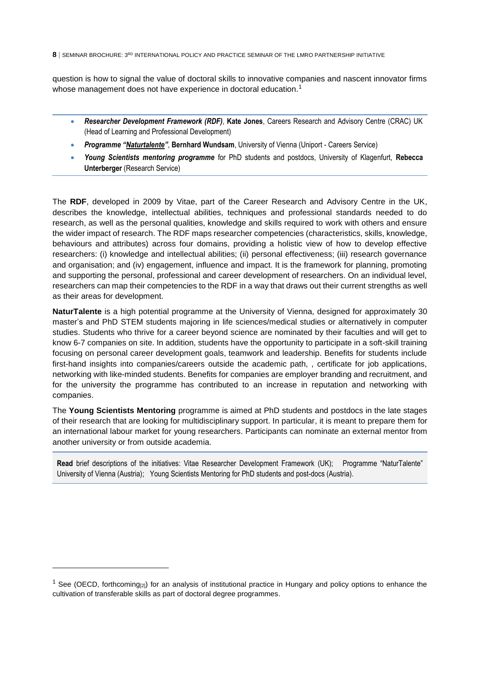question is how to signal the value of doctoral skills to innovative companies and nascent innovator firms whose management does not have experience in doctoral education.<sup>1</sup>

- *Researcher Development Framework (RDF)*, **Kate Jones**, Careers Research and Advisory Centre (CRAC) UK (Head of Learning and Professional Development)
- *Programme "[Naturtalente](https://www.uniport.at/naturtalente)"*, **Bernhard Wundsam**, University of Vienna (Uniport Careers Service)
- *Young Scientists mentoring programme* for PhD students and postdocs, University of Klagenfurt, **Rebecca Unterberger** (Research Service)

The **RDF**, developed in 2009 by Vitae, part of the Career Research and Advisory Centre in the UK, describes the knowledge, intellectual abilities, techniques and professional standards needed to do research, as well as the personal qualities, knowledge and skills required to work with others and ensure the wider impact of research. The RDF maps researcher competencies (characteristics, skills, knowledge, behaviours and attributes) across four domains, providing a holistic view of how to develop effective researchers: (i) knowledge and intellectual abilities; (ii) personal effectiveness; (iii) research governance and organisation; and (iv) engagement, influence and impact. It is the framework for planning, promoting and supporting the personal, professional and career development of researchers. On an individual level, researchers can map their competencies to the RDF in a way that draws out their current strengths as well as their areas for development.

**NaturTalente** is a high potential programme at the University of Vienna, designed for approximately 30 master's and PhD STEM students majoring in life sciences/medical studies or alternatively in computer studies. Students who thrive for a career beyond science are nominated by their faculties and will get to know 6-7 companies on site. In addition, students have the opportunity to participate in a soft-skill training focusing on personal career development goals, teamwork and leadership. Benefits for students include first-hand insights into companies/careers outside the academic path, , certificate for job applications, networking with like-minded students. Benefits for companies are employer branding and recruitment, and for the university the programme has contributed to an increase in reputation and networking with companies.

The **Young Scientists Mentoring** programme is aimed at PhD students and postdocs in the late stages of their research that are looking for multidisciplinary support. In particular, it is meant to prepare them for an international labour market for young researchers. Participants can nominate an external mentor from another university or from outside academia.

**Read** brief descriptions of the initiatives: [Vitae Researcher Development Framework](#page-20-0) (UK); [Programme "NaturTalente"](#page-22-0) [University of Vienna \(Austria\);](#page-22-0) [Young Scientists Mentoring for PhD students and post-docs](#page-23-0) (Austria).

<sup>&</sup>lt;sup>1</sup> See (OECD, forthcoming<sub>[2]</sub>) for an analysis of institutional practice in Hungary and policy options to enhance the cultivation of transferable skills as part of doctoral degree programmes.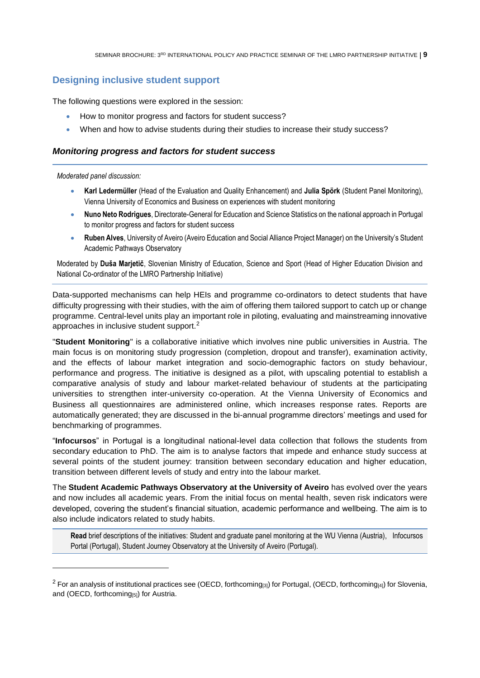## <span id="page-8-0"></span>**Designing inclusive student support**

The following questions were explored in the session:

- How to monitor progress and factors for student success?
- When and how to advise students during their studies to increase their study success?

## <span id="page-8-1"></span>*Monitoring progress and factors for student success*

#### *Moderated panel discussion:*

- **Karl Ledermüller** (Head of the Evaluation and Quality Enhancement) and **Julia Spörk** (Student Panel Monitoring), Vienna University of Economics and Business on experiences with student monitoring
- **Nuno Neto Rodrigues**, Directorate-General for Education and Science Statistics on the national approach in Portugal to monitor progress and factors for student success
- **Ruben Alves**, University of Aveiro (Aveiro Education and Social Alliance Project Manager) on the University's Student Academic Pathways Observatory

Moderated by **Duša Marjetič**, Slovenian Ministry of Education, Science and Sport (Head of Higher Education Division and National Co-ordinator of the LMRO Partnership Initiative)

Data-supported mechanisms can help HEIs and programme co-ordinators to detect students that have difficulty progressing with their studies, with the aim of offering them tailored support to catch up or change programme. Central-level units play an important role in piloting, evaluating and mainstreaming innovative approaches in inclusive student support.<sup>2</sup>

"**Student Monitoring**" is a collaborative initiative which involves nine public universities in Austria. The main focus is on monitoring study progression (completion, dropout and transfer), examination activity, and the effects of labour market integration and socio-demographic factors on study behaviour, performance and progress. The initiative is designed as a pilot, with upscaling potential to establish a comparative analysis of study and labour market-related behaviour of students at the participating universities to strengthen inter-university co-operation. At the Vienna University of Economics and Business all questionnaires are administered online, which increases response rates. Reports are automatically generated; they are discussed in the bi-annual programme directors' meetings and used for benchmarking of programmes.

"**Infocursos**" in Portugal is a longitudinal national-level data collection that follows the students from secondary education to PhD. The aim is to analyse factors that impede and enhance study success at several points of the student journey: transition between secondary education and higher education, transition between different levels of study and entry into the labour market.

The **Student Academic Pathways Observatory at the University of Aveiro** has evolved over the years and now includes all academic years. From the initial focus on mental health, seven risk indicators were developed, covering the student's financial situation, academic performance and wellbeing. The aim is to also include indicators related to study habits.

**Read** brief descriptions of the initiatives[: Student and graduate panel monitoring](#page-25-0) at the WU Vienna (Austria), [Infocursos](#page-26-0)  Portal [\(Portugal\),](#page-26-0) Student Journey Observatory [at the University of Aveiro \(Portugal\).](#page-27-0) 

 $2$  For an analysis of institutional practices see (OECD, forthcoming[3]) for Portugal, (OECD, forthcoming[4]) for Slovenia, and (OECD, forthcoming[5]) for Austria.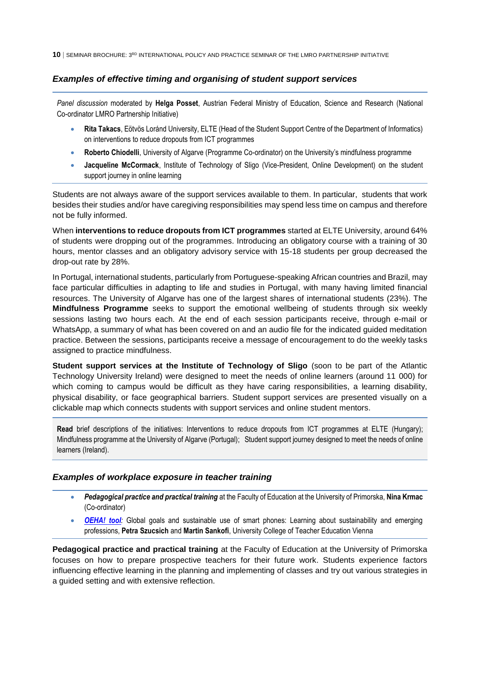## <span id="page-9-0"></span>*Examples of effective timing and organising of student support services*

*Panel discussion* moderated by **Helga Posset**, Austrian Federal Ministry of Education, Science and Research (National Co-ordinator LMRO Partnership Initiative)

- **Rita Takacs**, Eötvös Loránd University, ELTE (Head of the Student Support Centre of the Department of Informatics) on interventions to reduce dropouts from ICT programmes
- **Roberto Chiodelli**, University of Algarve (Programme Co-ordinator) on the University's mindfulness programme
- **Jacqueline McCormack**, Institute of Technology of Sligo (Vice-President, Online Development) on the student support journey in online learning

Students are not always aware of the support services available to them. In particular, students that work besides their studies and/or have caregiving responsibilities may spend less time on campus and therefore not be fully informed.

When **interventions to reduce dropouts from ICT programmes** started at ELTE University, around 64% of students were dropping out of the programmes. Introducing an obligatory course with a training of 30 hours, mentor classes and an obligatory advisory service with 15-18 students per group decreased the drop-out rate by 28%.

In Portugal, international students, particularly from Portuguese-speaking African countries and Brazil, may face particular difficulties in adapting to life and studies in Portugal, with many having limited financial resources. The University of Algarve has one of the largest shares of international students (23%). The **Mindfulness Programme** seeks to support the emotional wellbeing of students through six weekly sessions lasting two hours each. At the end of each session participants receive, through e-mail or WhatsApp, a summary of what has been covered on and an audio file for the indicated guided meditation practice. Between the sessions, participants receive a message of encouragement to do the weekly tasks assigned to practice mindfulness.

**Student support services at the Institute of Technology of Sligo** (soon to be part of the Atlantic Technology University Ireland) were designed to meet the needs of online learners (around 11 000) for which coming to campus would be difficult as they have caring responsibilities, a learning disability, physical disability, or face geographical barriers. Student support services are presented visually on a clickable map which connects students with support services and online student mentors.

**Read** brief descriptions of the initiatives: Interventions [to reduce dropouts from ICT programmes at ELTE](#page-29-0) (Hungary); Mindfulness programme [at the University of Algarve \(Portugal\);](#page-30-0) [Student support journey designed to meet the needs of online](#page-33-0)  [learners \(Ireland\).](#page-33-0)

## <span id="page-9-1"></span>*Examples of workplace exposure in teacher training*

- *Pedagogical practice and practical training* at th[e Faculty of Education](https://www.pef.upr.si/eng/) at the University of Primorska, **Nina Krmac** (Co-ordinator)
- *[OEHA! tool](https://oeha.phwien.ac.at/)*: Global goals and sustainable use of smart phones: Learning about sustainability and emerging professions, **Petra Szucsich** and **Martin Sankofi**, University College of Teacher Education Vienna

**Pedagogical practice and practical training** at the [Faculty of Education](https://www.pef.upr.si/eng/) at the University of Primorska focuses on how to prepare prospective teachers for their future work. Students experience factors influencing effective learning in the planning and implementing of classes and try out various strategies in a guided setting and with extensive reflection.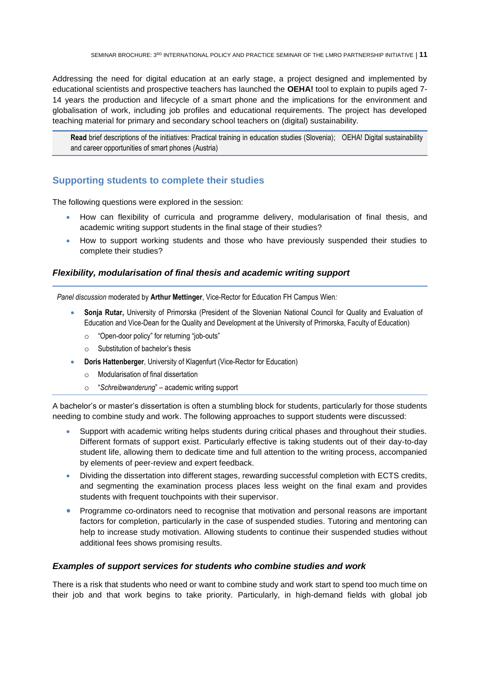Addressing the need for digital education at an early stage, a project designed and implemented by educational scientists and prospective teachers has launched the **OEHA!** tool to explain to pupils aged 7- 14 years the production and lifecycle of a smart phone and the implications for the environment and globalisation of work, including job profiles and educational requirements. The project has developed teaching material for primary and secondary school teachers on (digital) sustainability.

**Read** brief descriptions of the initiatives: [Practical training in education studies \(Slovenia\);](#page-34-0) [OEHA! Digital sustainability](#page-36-0)  [and career opportunities of smart phones](#page-36-0) (Austria)

## <span id="page-10-0"></span>**Supporting students to complete their studies**

The following questions were explored in the session:

- How can flexibility of curricula and programme delivery, modularisation of final thesis, and academic writing support students in the final stage of their studies?
- How to support working students and those who have previously suspended their studies to complete their studies?

## <span id="page-10-1"></span>*Flexibility, modularisation of final thesis and academic writing support*

*Panel discussion* moderated by **Arthur Mettinger**, Vice-Rector for Education FH Campus Wien*:*

- **Sonja Rutar,** University of Primorska (President of the Slovenian National Council for Quality and Evaluation of Education and Vice-Dean for the Quality and Development at the University of Primorska, Faculty of Education)
	- o "Open-door policy" for returning "job-outs"
	- $\circ$  Substitution of bachelor's thesis
- **Doris Hattenberger**, University of Klagenfurt (Vice-Rector for Education)
	- o Modularisation of final dissertation
	- o "*Schreibwanderung*" academic writing support

A bachelor's or master's dissertation is often a stumbling block for students, particularly for those students needing to combine study and work. The following approaches to support students were discussed:

- Support with academic writing helps students during critical phases and throughout their studies. Different formats of support exist. Particularly effective is taking students out of their day-to-day student life, allowing them to dedicate time and full attention to the writing process, accompanied by elements of peer-review and expert feedback.
- Dividing the dissertation into different stages, rewarding successful completion with ECTS credits, and segmenting the examination process places less weight on the final exam and provides students with frequent touchpoints with their supervisor.
- Programme co-ordinators need to recognise that motivation and personal reasons are important factors for completion, particularly in the case of suspended studies. Tutoring and mentoring can help to increase study motivation. Allowing students to continue their suspended studies without additional fees shows promising results.

## <span id="page-10-2"></span>*Examples of support services for students who combine studies and work*

There is a risk that students who need or want to combine study and work start to spend too much time on their job and that work begins to take priority. Particularly, in high-demand fields with global job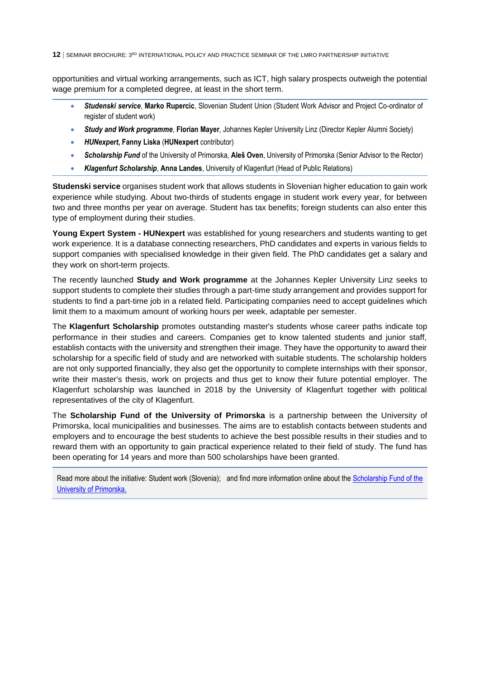opportunities and virtual working arrangements, such as ICT, high salary prospects outweigh the potential wage premium for a completed degree, at least in the short term.

- *Studenski service*, **Marko Rupercic**, Slovenian Student Union (Student Work Advisor and Project Co-ordinator of register of student work)
- *Study and Work programme*, **Florian Mayer**, Johannes Kepler University Linz (Director Kepler Alumni Society)
- *HUNexpert***, Fanny Liska** (**HUNexpert** contributor)
- *Scholarship Fund* of the University of Primorska, **Aleš Oven**, University of Primorska (Senior Advisor to the Rector)
- *Klagenfurt Scholarship*, **Anna Landes**, University of Klagenfurt (Head of Public Relations)

**Studenski service** organises student work that allows students in Slovenian higher education to gain work experience while studying. About two-thirds of students engage in student work every year, for between two and three months per year on average. Student has tax benefits; foreign students can also enter this type of employment during their studies.

**Young Expert System - HUNexpert** was established for young researchers and students wanting to get work experience. It is a database connecting researchers, PhD candidates and experts in various fields to support companies with specialised knowledge in their given field. The PhD candidates get a salary and they work on short-term projects.

The recently launched **Study and Work programme** at the Johannes Kepler University Linz seeks to support students to complete their studies through a part-time study arrangement and provides support for students to find a part-time job in a related field. Participating companies need to accept guidelines which limit them to a maximum amount of working hours per week, adaptable per semester.

The **Klagenfurt Scholarship** promotes outstanding master's students whose career paths indicate top performance in their studies and careers. Companies get to know talented students and junior staff, establish contacts with the university and strengthen their image. They have the opportunity to award their scholarship for a specific field of study and are networked with suitable students. The scholarship holders are not only supported financially, they also get the opportunity to complete internships with their sponsor, write their master's thesis, work on projects and thus get to know their future potential employer. The Klagenfurt scholarship was launched in 2018 by the University of Klagenfurt together with political representatives of the city of Klagenfurt.

The **Scholarship Fund of the University of Primorska** is a partnership between the University of Primorska, local municipalities and businesses. The aims are to establish contacts between students and employers and to encourage the best students to achieve the best possible results in their studies and to reward them with an opportunity to gain practical experience related to their field of study. The fund has been operating for 14 years and more than 500 scholarships have been granted.

Read more about the initiative[: Student work \(Slovenia\);](#page-38-0) and find more information online about the [Scholarship Fund of the](https://www.upr.si/en/4-study/101-scholarship-fund/#:~:text=The%20Scholarship%20Fund%20of%20the,of%20Primorska%2C%20municipalities%20and%20businesses.)  [University of Primorska.](https://www.upr.si/en/4-study/101-scholarship-fund/#:~:text=The%20Scholarship%20Fund%20of%20the,of%20Primorska%2C%20municipalities%20and%20businesses.)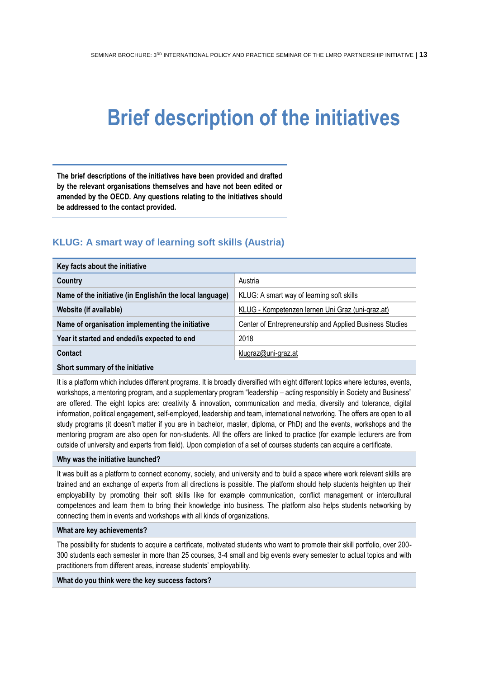## <span id="page-12-0"></span>**Brief description of the initiatives**

**The brief descriptions of the initiatives have been provided and drafted by the relevant organisations themselves and have not been edited or amended by the OECD. Any questions relating to the initiatives should be addressed to the contact provided.**

## <span id="page-12-1"></span>**KLUG: A smart way of learning soft skills (Austria)**

| Key facts about the initiative                            |                                                         |  |
|-----------------------------------------------------------|---------------------------------------------------------|--|
| Country                                                   | Austria                                                 |  |
| Name of the initiative (in English/in the local language) | KLUG: A smart way of learning soft skills               |  |
| Website (if available)                                    | KLUG - Kompetenzen lernen Uni Graz (uni-graz.at)        |  |
| Name of organisation implementing the initiative          | Center of Entrepreneurship and Applied Business Studies |  |
| Year it started and ended/is expected to end              | 2018                                                    |  |
| Contact                                                   | klugraz@uni-graz.at                                     |  |
| Okaaksaanaan suurilikko talikkiin                         |                                                         |  |

**Short summary of the initiative**

It is a platform which includes different programs. It is broadly diversified with eight different topics where lectures, events, workshops, a mentoring program, and a supplementary program "leadership – acting responsibly in Society and Business" are offered. The eight topics are: creativity & innovation, communication and media, diversity and tolerance, digital information, political engagement, self-employed, leadership and team, international networking. The offers are open to all study programs (it doesn't matter if you are in bachelor, master, diploma, or PhD) and the events, workshops and the mentoring program are also open for non-students. All the offers are linked to practice (for example lecturers are from outside of university and experts from field). Upon completion of a set of courses students can acquire a certificate.

#### **Why was the initiative launched?**

It was built as a platform to connect economy, society, and university and to build a space where work relevant skills are trained and an exchange of experts from all directions is possible. The platform should help students heighten up their employability by promoting their soft skills like for example communication, conflict management or intercultural competences and learn them to bring their knowledge into business. The platform also helps students networking by connecting them in events and workshops with all kinds of organizations.

#### **What are key achievements?**

The possibility for students to acquire a certificate, motivated students who want to promote their skill portfolio, over 200- 300 students each semester in more than 25 courses, 3-4 small and big events every semester to actual topics and with practitioners from different areas, increase students' employability.

#### **What do you think were the key success factors?**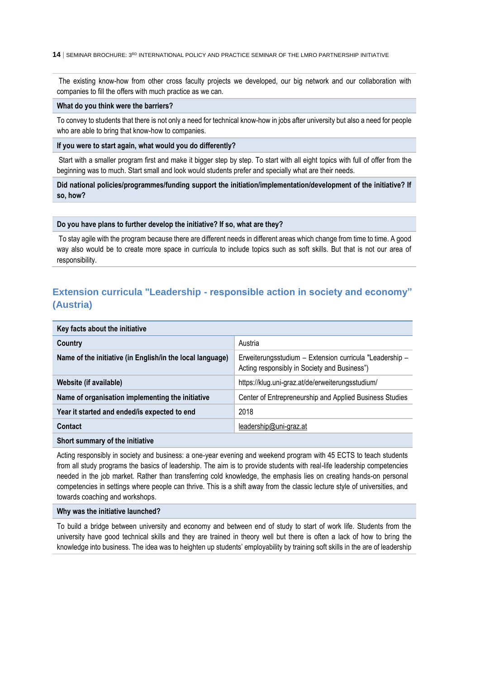The existing know-how from other cross faculty projects we developed, our big network and our collaboration with companies to fill the offers with much practice as we can.

#### **What do you think were the barriers?**

To convey to students that there is not only a need for technical know-how in jobs after university but also a need for people who are able to bring that know-how to companies.

#### **If you were to start again, what would you do differently?**

Start with a smaller program first and make it bigger step by step. To start with all eight topics with full of offer from the beginning was to much. Start small and look would students prefer and specially what are their needs.

**Did national policies/programmes/funding support the initiation/implementation/development of the initiative? If so, how?**

#### **Do you have plans to further develop the initiative? If so, what are they?**

To stay agile with the program because there are different needs in different areas which change from time to time. A good way also would be to create more space in curricula to include topics such as soft skills. But that is not our area of responsibility.

## <span id="page-13-0"></span>**Extension curricula "Leadership - responsible action in society and economy" (Austria)**

| Key facts about the initiative                            |                                                                                                         |
|-----------------------------------------------------------|---------------------------------------------------------------------------------------------------------|
| Country                                                   | Austria                                                                                                 |
| Name of the initiative (in English/in the local language) | Erweiterungsstudium - Extension curricula "Leadership -<br>Acting responsibly in Society and Business") |
| Website (if available)                                    | https://klug.uni-graz.at/de/erweiterungsstudium/                                                        |
| Name of organisation implementing the initiative          | Center of Entrepreneurship and Applied Business Studies                                                 |
| Year it started and ended/is expected to end              | 2018                                                                                                    |
| Contact                                                   | leadership@uni-graz.at                                                                                  |
|                                                           |                                                                                                         |

#### **Short summary of the initiative**

Acting responsibly in society and business: a one-year evening and weekend program with 45 ECTS to teach students from all study programs the basics of leadership. The aim is to provide students with real-life leadership competencies needed in the job market. Rather than transferring cold knowledge, the emphasis lies on creating hands-on personal competencies in settings where people can thrive. This is a shift away from the classic lecture style of universities, and towards coaching and workshops.

#### **Why was the initiative launched?**

To build a bridge between university and economy and between end of study to start of work life. Students from the university have good technical skills and they are trained in theory well but there is often a lack of how to bring the knowledge into business. The idea was to heighten up students' employability by training soft skills in the are of leadership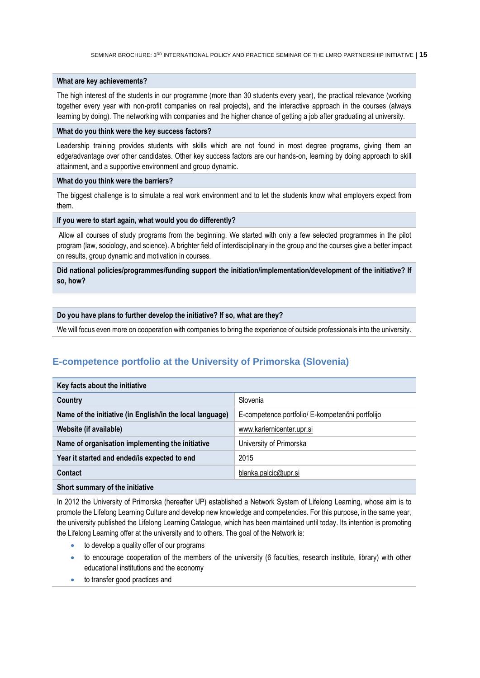#### **What are key achievements?**

The high interest of the students in our programme (more than 30 students every year), the practical relevance (working together every year with non-profit companies on real projects), and the interactive approach in the courses (always learning by doing). The networking with companies and the higher chance of getting a job after graduating at university.

#### **What do you think were the key success factors?**

Leadership training provides students with skills which are not found in most degree programs, giving them an edge/advantage over other candidates. Other key success factors are our hands-on, learning by doing approach to skill attainment, and a supportive environment and group dynamic.

#### **What do you think were the barriers?**

The biggest challenge is to simulate a real work environment and to let the students know what employers expect from them.

#### **If you were to start again, what would you do differently?**

Allow all courses of study programs from the beginning. We started with only a few selected programmes in the pilot program (law, sociology, and science). A brighter field of interdisciplinary in the group and the courses give a better impact on results, group dynamic and motivation in courses.

#### **Did national policies/programmes/funding support the initiation/implementation/development of the initiative? If so, how?**

#### **Do you have plans to further develop the initiative? If so, what are they?**

<span id="page-14-0"></span>We will focus even more on cooperation with companies to bring the experience of outside professionals into the university.

## **E-competence portfolio at the University of Primorska (Slovenia)**

| Key facts about the initiative                            |                                                  |  |
|-----------------------------------------------------------|--------------------------------------------------|--|
| Country                                                   | Slovenia                                         |  |
| Name of the initiative (in English/in the local language) | E-competence portfolio/ E-kompetenčni portfolijo |  |
| Website (if available)                                    | www.kariernicenter.upr.si                        |  |
| Name of organisation implementing the initiative          | University of Primorska                          |  |
| Year it started and ended/is expected to end              | 2015                                             |  |
| Contact                                                   | blanka.palcic@upr.si                             |  |
|                                                           |                                                  |  |

#### **Short summary of the initiative**

In 2012 the University of Primorska (hereafter UP) established a Network System of Lifelong Learning, whose aim is to promote the Lifelong Learning Culture and develop new knowledge and competencies. For this purpose, in the same year, the university published the Lifelong Learning Catalogue, which has been maintained until today. Its intention is promoting the Lifelong Learning offer at the university and to others. The goal of the Network is:

- to develop a quality offer of our programs
- to encourage cooperation of the members of the university (6 faculties, research institute, library) with other educational institutions and the economy
- **to transfer good practices and**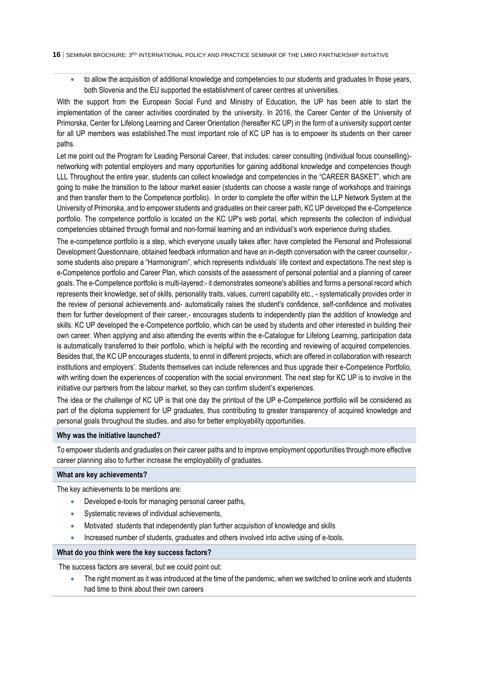to allow the acquisition of additional knowledge and competencies to our students and graduates In those years, both Slovenia and the EU supported the establishment of career centres at universities.

With the support from the European Social Fund and Ministry of Education, the UP has been able to start the implementation of the career activities coordinated by the university. In 2016, the Career Center of the University of Primorska, Center for Lifelong Learning and Career Orientation (hereafter KC UP) in the form of a university support center for all UP members was established.The most important role of KC UP has is to empower its students on their career paths.

Let me point out the Program for Leading Personal Career, that includes: career consulting (individual focus counselling) networking with potential employers and many opportunities for gaining additional knowledge and competencies though LLL Throughout the entire year, students can collect knowledge and competencies in the "CAREER BASKET", which are going to make the transition to the labour market easier (students can choose a waste range of workshops and trainings and then transfer them to the Competence portfolio). In order to complete the offer within the LLP Network System at the University of Primorska, and to empower students and graduates on their career path, KC UP developed the e-Competence portfolio. The competence portfolio is located on the KC UP's web portal, which represents the collection of individual competencies obtained through formal and non-formal learning and an individual's work experience during studies.

The e-competence portfolio is a step, which everyone usually takes after: have completed the Personal and Professional Development Questionnaire, obtained feedback information and have an in-depth conversation with the career counsellor, some students also prepare a "Harmonigram", which represents individuals' life context and expectations.The next step is e-Competence portfolio and Career Plan, which consists of the assessment of personal potential and a planning of career goals. The e-Competence portfolio is multi-layered:- it demonstrates someone's abilities and forms a personal record which represents their knowledge, set of skills, personality traits, values, current capability etc., - systematically provides order in the review of personal achievements and- automatically raises the student's confidence, self-confidence and motivates them for further development of their career,- encourages students to independently plan the addition of knowledge and skills. KC UP developed the e-Competence portfolio, which can be used by students and other interested in building their own career. When applying and also attending the events within the e-Catalogue for Lifelong Learning, participation data is automatically transferred to their portfolio, which is helpful with the recording and reviewing of acquired competencies. Besides that, the KC UP encourages students, to enrol in different projects, which are offered in collaboration with research institutions and employers'. Students themselves can include references and thus upgrade their e-Competence Portfolio, with writing down the experiences of cooperation with the social environment. The next step for KC UP is to involve in the initiative our partners from the labour market, so they can confirm student's experiences.

The idea or the challenge of KC UP is that one day the printout of the UP e-Competence portfolio will be considered as part of the diploma supplement for UP graduates, thus contributing to greater transparency of acquired knowledge and personal goals throughout the studies, and also for better employability opportunities.

#### **Why was the initiative launched?**

To empower students and graduates on their career paths and to improve employment opportunities through more effective career planning also to further increase the employability of graduates.

#### **What are key achievements?**

The key achievements to be mentions are:

- Developed e-tools for managing personal career paths,
- Systematic reviews of individual achievements,
- Motivated students that independently plan further acquisition of knowledge and skills
- Increased number of students, graduates and others involved into active using of e-tools.

#### **What do you think were the key success factors?**

The success factors are several, but we could point out:

 The right moment as it was introduced at the time of the pandemic, when we switched to online work and students had time to think about their own careers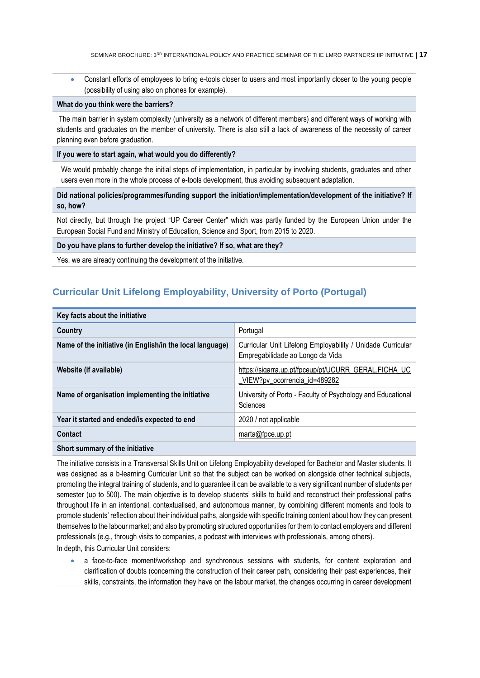Constant efforts of employees to bring e-tools closer to users and most importantly closer to the young people (possibility of using also on phones for example).

#### **What do you think were the barriers?**

The main barrier in system complexity (university as a network of different members) and different ways of working with students and graduates on the member of university. There is also still a lack of awareness of the necessity of career planning even before graduation.

## **If you were to start again, what would you do differently?**

We would probably change the initial steps of implementation, in particular by involving students, graduates and other users even more in the whole process of e-tools development, thus avoiding subsequent adaptation.

**Did national policies/programmes/funding support the initiation/implementation/development of the initiative? If so, how?**

Not directly, but through the project "UP Career Center" which was partly funded by the European Union under the European Social Fund and Ministry of Education, Science and Sport, from 2015 to 2020.

#### **Do you have plans to further develop the initiative? If so, what are they?**

<span id="page-16-0"></span>Yes, we are already continuing the development of the initiative.

## **Curricular Unit Lifelong Employability, University of Porto (Portugal)**

| Key facts about the initiative                            |                                                                                                 |  |
|-----------------------------------------------------------|-------------------------------------------------------------------------------------------------|--|
| Country                                                   | Portugal                                                                                        |  |
| Name of the initiative (in English/in the local language) | Curricular Unit Lifelong Employability / Unidade Curricular<br>Empregabilidade ao Longo da Vida |  |
| Website (if available)                                    | https://sigarra.up.pt/fpceup/pt/UCURR_GERAL.FICHA_UC<br>VIEW?pv ocorrencia id=489282            |  |
| Name of organisation implementing the initiative          | University of Porto - Faculty of Psychology and Educational<br>Sciences                         |  |
| Year it started and ended/is expected to end              | 2020 / not applicable                                                                           |  |
| Contact                                                   | marta@fpce.up.pt                                                                                |  |
| Short summary of the initiative                           |                                                                                                 |  |

The initiative consists in a Transversal Skills Unit on Lifelong Employability developed for Bachelor and Master students. It was designed as a b-learning Curricular Unit so that the subject can be worked on alongside other technical subjects, promoting the integral training of students, and to guarantee it can be available to a very significant number of students per semester (up to 500). The main objective is to develop students' skills to build and reconstruct their professional paths throughout life in an intentional, contextualised, and autonomous manner, by combining different moments and tools to promote students' reflection about their individual paths, alongside with specific training content about how they can present themselves to the labour market; and also by promoting structured opportunities for them to contact employers and different professionals (e.g., through visits to companies, a podcast with interviews with professionals, among others).

In depth, this Curricular Unit considers:

 a face-to-face moment/workshop and synchronous sessions with students, for content exploration and clarification of doubts (concerning the construction of their career path, considering their past experiences, their skills, constraints, the information they have on the labour market, the changes occurring in career development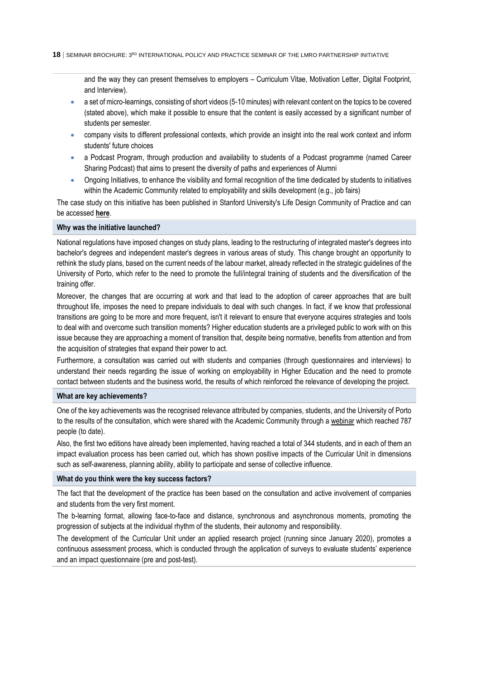and the way they can present themselves to employers – Curriculum Vitae, Motivation Letter, Digital Footprint, and Interview).

- a set of micro-learnings, consisting of short videos (5-10 minutes) with relevant content on the topics to be covered (stated above), which make it possible to ensure that the content is easily accessed by a significant number of students per semester.
- company visits to different professional contexts, which provide an insight into the real work context and inform students' future choices
- a [Podcast Program,](https://open.spotify.com/show/6tvjOiUXmNORxJzP9c7A0P?si=211c7d710745432b) through production and availability to students of a Podcast programme (named Career Sharing Podcast) that aims to present the diversity of paths and experiences of Alumni
- Ongoing Initiatives, to enhance the visibility and formal recognition of the time dedicated by students to initiatives within the Academic Community related to employability and skills development (e.g., job fairs)

The case study on this initiative has been published in Stanford University's Life Design Community of Practice and can be accessed **[here](https://lifedesignlab.stanford.edu/university-of-porto)**.

#### **Why was the initiative launched?**

National regulations have imposed changes on study plans, leading to the restructuring of integrated master's degrees into bachelor's degrees and independent master's degrees in various areas of study. This change brought an opportunity to rethink the study plans, based on the current needs of the labour market, already reflected in the strategic guidelines of the University of Porto, which refer to the need to promote the full/integral training of students and the diversification of the training offer.

Moreover, the changes that are occurring at work and that lead to the adoption of career approaches that are built throughout life, imposes the need to prepare individuals to deal with such changes. In fact, if we know that professional transitions are going to be more and more frequent, isn't it relevant to ensure that everyone acquires strategies and tools to deal with and overcome such transition moments? Higher education students are a privileged public to work with on this issue because they are approaching a moment of transition that, despite being normative, benefits from attention and from the acquisition of strategies that expand their power to act.

Furthermore, a consultation was carried out with students and companies (through questionnaires and interviews) to understand their needs regarding the issue of working on employability in Higher Education and the need to promote contact between students and the business world, the results of which reinforced the relevance of developing the project.

#### **What are key achievements?**

One of the key achievements was the recognised relevance attributed by companies, students, and the University of Porto to the results of the consultation, which were shared with the Academic Community through a [webinar](https://www.youtube.com/watch?v=17GB-UmfURg) which reached 787 people (to date).

Also, the first two editions have already been implemented, having reached a total of 344 students, and in each of them an impact evaluation process has been carried out, which has shown positive impacts of the Curricular Unit in dimensions such as self-awareness, planning ability, ability to participate and sense of collective influence.

#### **What do you think were the key success factors?**

The fact that the development of the practice has been based on the consultation and active involvement of companies and students from the very first moment.

The b-learning format, allowing face-to-face and distance, synchronous and asynchronous moments, promoting the progression of subjects at the individual rhythm of the students, their autonomy and responsibility.

The development of the Curricular Unit under an applied research project (running since January 2020), promotes a continuous assessment process, which is conducted through the application of surveys to evaluate students' experience and an impact questionnaire (pre and post-test).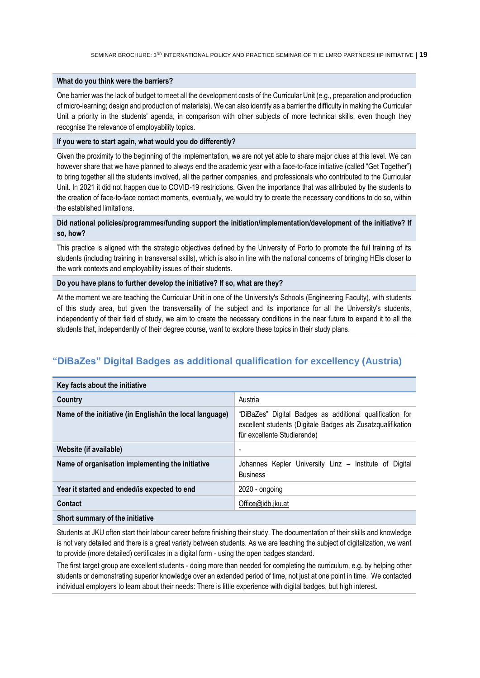#### **What do you think were the barriers?**

One barrier was the lack of budget to meet all the development costs of the Curricular Unit (e.g., preparation and production of micro-learning; design and production of materials). We can also identify as a barrier the difficulty in making the Curricular Unit a priority in the students' agenda, in comparison with other subjects of more technical skills, even though they recognise the relevance of employability topics.

#### **If you were to start again, what would you do differently?**

Given the proximity to the beginning of the implementation, we are not yet able to share major clues at this level. We can however share that we have planned to always end the academic year with a face-to-face initiative (called "Get Together") to bring together all the students involved, all the partner companies, and professionals who contributed to the Curricular Unit. In 2021 it did not happen due to COVID-19 restrictions. Given the importance that was attributed by the students to the creation of face-to-face contact moments, eventually, we would try to create the necessary conditions to do so, within the established limitations.

#### **Did national policies/programmes/funding support the initiation/implementation/development of the initiative? If so, how?**

This practice is aligned with the strategic objectives defined by the University of Porto to promote the full training of its students (including training in transversal skills), which is also in line with the national concerns of bringing HEIs closer to the work contexts and employability issues of their students.

#### **Do you have plans to further develop the initiative? If so, what are they?**

At the moment we are teaching the Curricular Unit in one of the University's Schools (Engineering Faculty), with students of this study area, but given the transversality of the subject and its importance for all the University's students, independently of their field of study, we aim to create the necessary conditions in the near future to expand it to all the students that, independently of their degree course, want to explore these topics in their study plans.

## <span id="page-18-0"></span>**"DiBaZes" Digital Badges as additional qualification for excellency (Austria)**

| Key facts about the initiative                            |                                                                                                                                                        |
|-----------------------------------------------------------|--------------------------------------------------------------------------------------------------------------------------------------------------------|
| Country                                                   | Austria                                                                                                                                                |
| Name of the initiative (in English/in the local language) | "DiBaZes" Digital Badges as additional qualification for<br>excellent students (Digitale Badges als Zusatzqualifikation<br>für excellente Studierende) |
| Website (if available)                                    | $\overline{\phantom{0}}$                                                                                                                               |
| Name of organisation implementing the initiative          | Johannes Kepler University Linz - Institute of Digital<br><b>Business</b>                                                                              |
| Year it started and ended/is expected to end              | $2020 - ongoing$                                                                                                                                       |
| Contact                                                   | Office@idb.jku.at                                                                                                                                      |
|                                                           |                                                                                                                                                        |

#### **Short summary of the initiative**

Students at JKU often start their labour career before finishing their study. The documentation of their skills and knowledge is not very detailed and there is a great variety between students. As we are teaching the subject of digitalization, we want to provide (more detailed) certificates in a digital form - using the open badges standard.

The first target group are excellent students - doing more than needed for completing the curriculum, e.g. by helping other students or demonstrating superior knowledge over an extended period of time, not just at one point in time. We contacted individual employers to learn about their needs: There is little experience with digital badges, but high interest.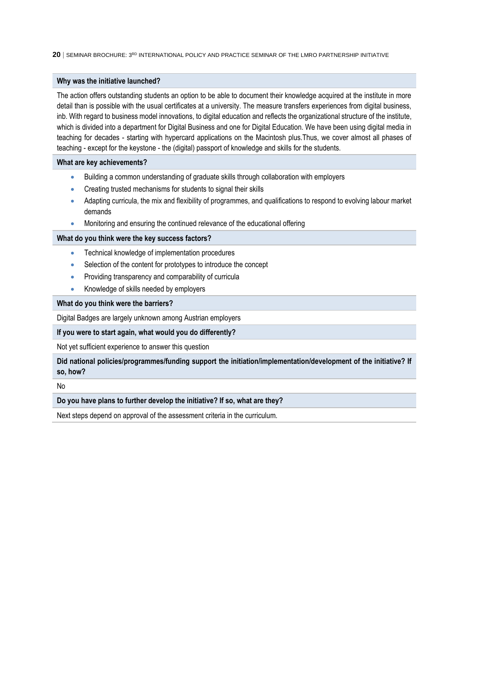#### **Why was the initiative launched?**

The action offers outstanding students an option to be able to document their knowledge acquired at the institute in more detail than is possible with the usual certificates at a university. The measure transfers experiences from digital business, inb. With regard to business model innovations, to digital education and reflects the organizational structure of the institute, which is divided into a department for Digital Business and one for Digital Education. We have been using digital media in teaching for decades - starting with hypercard applications on the Macintosh plus.Thus, we cover almost all phases of teaching - except for the keystone - the (digital) passport of knowledge and skills for the students.

#### **What are key achievements?**

- Building a common understanding of graduate skills through collaboration with employers
- Creating trusted mechanisms for students to signal their skills
- Adapting curricula, the mix and flexibility of programmes, and qualifications to respond to evolving labour market demands
- Monitoring and ensuring the continued relevance of the educational offering

#### **What do you think were the key success factors?**

- Technical knowledge of implementation procedures
- Selection of the content for prototypes to introduce the concept
- **•** Providing transparency and comparability of curricula
- Knowledge of skills needed by employers

#### **What do you think were the barriers?**

Digital Badges are largely unknown among Austrian employers

#### **If you were to start again, what would you do differently?**

Not yet sufficient experience to answer this question

**Did national policies/programmes/funding support the initiation/implementation/development of the initiative? If so, how?**

No

#### **Do you have plans to further develop the initiative? If so, what are they?**

Next steps depend on approval of the assessment criteria in the curriculum.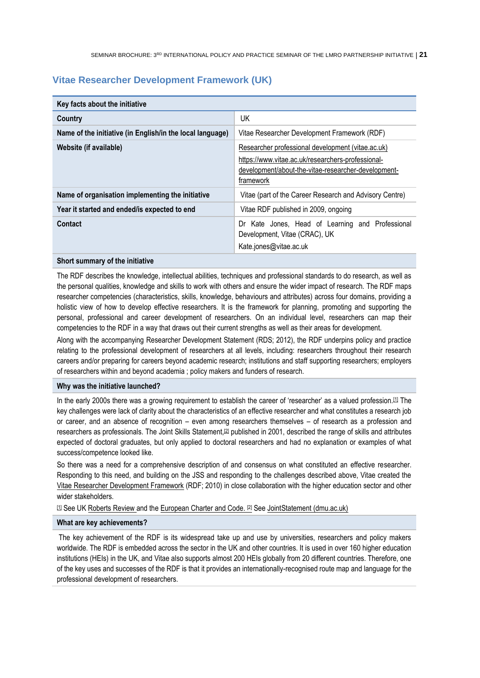## <span id="page-20-0"></span>**Vitae Researcher Development Framework (UK)**

| Key facts about the initiative                            |                                                                                                                                                                            |  |
|-----------------------------------------------------------|----------------------------------------------------------------------------------------------------------------------------------------------------------------------------|--|
| Country                                                   | UK                                                                                                                                                                         |  |
| Name of the initiative (in English/in the local language) | Vitae Researcher Development Framework (RDF)                                                                                                                               |  |
| Website (if available)                                    | Researcher professional development (vitae.ac.uk)<br>https://www.vitae.ac.uk/researchers-professional-<br>development/about-the-vitae-researcher-development-<br>framework |  |
| Name of organisation implementing the initiative          | Vitae (part of the Career Research and Advisory Centre)                                                                                                                    |  |
| Year it started and ended/is expected to end              | Vitae RDF published in 2009, ongoing                                                                                                                                       |  |
| Contact                                                   | Dr Kate Jones, Head of Learning and Professional<br>Development, Vitae (CRAC), UK<br>Kate.jones@vitae.ac.uk                                                                |  |

#### **Short summary of the initiative**

The RDF describes the knowledge, intellectual abilities, techniques and professional standards to do research, as well as the personal qualities, knowledge and skills to work with others and ensure the wider impact of research. The RDF maps researcher competencies (characteristics, skills, knowledge, behaviours and attributes) across four domains, providing a holistic view of how to develop effective researchers. It is the framework for planning, promoting and supporting the personal, professional and career development of researchers. On an individual level, researchers can map their competencies to the RDF in a way that draws out their current strengths as well as their areas for development.

Along with the accompanying Researcher Development Statement (RDS; 2012), the RDF underpins policy and practice relating to the professional development of researchers at all levels, including: researchers throughout their research careers and/or preparing for careers beyond academic research; institutions and staff supporting researchers; employers of researchers within and beyond academia ; policy makers and funders of research.

#### **Why was the initiative launched?**

In the early 2000s there was a growing requirement to establish the career of 'researcher' as a valued profession.<sup>[\[1\]](https://frc-word-edit.officeapps.live.com/we/wordeditorframe.aspx?ui=en%2DUS&rs=fr%2DFR&wopisrc=https%3A%2F%2Foecd-my.sharepoint.com%2Fpersonal%2Fnora_bruning_oecd_org%2F_vti_bin%2Fwopi.ashx%2Ffiles%2Fa330757ce47549a980f9005ff179b5b1&wdlor=c31334A42%2D2C49%2D4CCB%2D97D8%2D7BB8BC528E20&wdenableroaming=1&mscc=0&wdodb=1&hid=74AB29A0-101C-3000-B81C-7EC74FA276F8&wdorigin=Outlook-Body&wdhostclicktime=1647263241731&jsapi=1&jsapiver=v1&newsession=1&corrid=cd158c20-4a35-44d0-b803-40a647a06092&usid=cd158c20-4a35-44d0-b803-40a647a06092&sftc=1&mtf=1&sfp=1&instantedit=1&wopicomplete=1&wdredirectionreason=Unified_SingleFlush&rct=Medium&ctp=LeastProtected#_ftn1)</sup> The key challenges were lack of clarity about the characteristics of an effective researcher and what constitutes a research job or career, and an absence of recognition – even among researchers themselves – of research as a profession and researchers as professionals. The Joint Skills Statement,[\[2\]](https://frc-word-edit.officeapps.live.com/we/wordeditorframe.aspx?ui=en%2DUS&rs=fr%2DFR&wopisrc=https%3A%2F%2Foecd-my.sharepoint.com%2Fpersonal%2Fnora_bruning_oecd_org%2F_vti_bin%2Fwopi.ashx%2Ffiles%2Fa330757ce47549a980f9005ff179b5b1&wdlor=c31334A42%2D2C49%2D4CCB%2D97D8%2D7BB8BC528E20&wdenableroaming=1&mscc=0&wdodb=1&hid=74AB29A0-101C-3000-B81C-7EC74FA276F8&wdorigin=Outlook-Body&wdhostclicktime=1647263241731&jsapi=1&jsapiver=v1&newsession=1&corrid=cd158c20-4a35-44d0-b803-40a647a06092&usid=cd158c20-4a35-44d0-b803-40a647a06092&sftc=1&mtf=1&sfp=1&instantedit=1&wopicomplete=1&wdredirectionreason=Unified_SingleFlush&rct=Medium&ctp=LeastProtected#_ftn2) published in 2001, described the range of skills and attributes expected of doctoral graduates, but only applied to doctoral researchers and had no explanation or examples of what success/competence looked like.

So there was a need for a comprehensive description of and consensus on what constituted an effective researcher. Responding to this need, and building on the JSS and responding to the challenges described above, Vitae created the [Vitae Researcher Development Framework](https://www.vitae.ac.uk/researchers-professional-development/about-the-vitae-researcher-development-framework/developing-the-vitae-researcher-development-framework) (RDF; 2010) in close collaboration with the higher education sector and other wider stakeholders.

[\[1\]](https://frc-word-edit.officeapps.live.com/we/wordeditorframe.aspx?ui=en%2DUS&rs=fr%2DFR&wopisrc=https%3A%2F%2Foecd-my.sharepoint.com%2Fpersonal%2Fnora_bruning_oecd_org%2F_vti_bin%2Fwopi.ashx%2Ffiles%2Fa330757ce47549a980f9005ff179b5b1&wdlor=c31334A42%2D2C49%2D4CCB%2D97D8%2D7BB8BC528E20&wdenableroaming=1&mscc=0&wdodb=1&hid=74AB29A0-101C-3000-B81C-7EC74FA276F8&wdorigin=Outlook-Body&wdhostclicktime=1647263241731&jsapi=1&jsapiver=v1&newsession=1&corrid=cd158c20-4a35-44d0-b803-40a647a06092&usid=cd158c20-4a35-44d0-b803-40a647a06092&sftc=1&mtf=1&sfp=1&instantedit=1&wopicomplete=1&wdredirectionreason=Unified_SingleFlush&rct=Medium&ctp=LeastProtected#_ftnref1) See UK [Roberts Review a](https://www.employment-studies.co.uk/resource/set-success-report-sir-gareth-roberts-review)nd the [European Charter and Code.](https://euraxess.ec.europa.eu/jobs/charter-code-researchers) [\[2\]](https://frc-word-edit.officeapps.live.com/we/wordeditorframe.aspx?ui=en%2DUS&rs=fr%2DFR&wopisrc=https%3A%2F%2Foecd-my.sharepoint.com%2Fpersonal%2Fnora_bruning_oecd_org%2F_vti_bin%2Fwopi.ashx%2Ffiles%2Fa330757ce47549a980f9005ff179b5b1&wdlor=c31334A42%2D2C49%2D4CCB%2D97D8%2D7BB8BC528E20&wdenableroaming=1&mscc=0&wdodb=1&hid=74AB29A0-101C-3000-B81C-7EC74FA276F8&wdorigin=Outlook-Body&wdhostclicktime=1647263241731&jsapi=1&jsapiver=v1&newsession=1&corrid=cd158c20-4a35-44d0-b803-40a647a06092&usid=cd158c20-4a35-44d0-b803-40a647a06092&sftc=1&mtf=1&sfp=1&instantedit=1&wopicomplete=1&wdredirectionreason=Unified_SingleFlush&rct=Medium&ctp=LeastProtected#_ftnref2) See [JointStatement \(dmu.ac.uk\)](https://www.dmu.ac.uk/documents/doctoral-college/current-students/research-development-programme/jointstatement.pdf)

#### **What are key achievements?**

The key achievement of the RDF is its widespread take up and use by universities, researchers and policy makers worldwide. The RDF is embedded across the sector in the UK and other countries. It is used in over 160 higher education institutions (HEIs) in the UK, and Vitae also supports almost 200 HEIs globally from 20 different countries. Therefore, one of the key uses and successes of the RDF is that it provides an internationally-recognised route map and language for the professional development of researchers.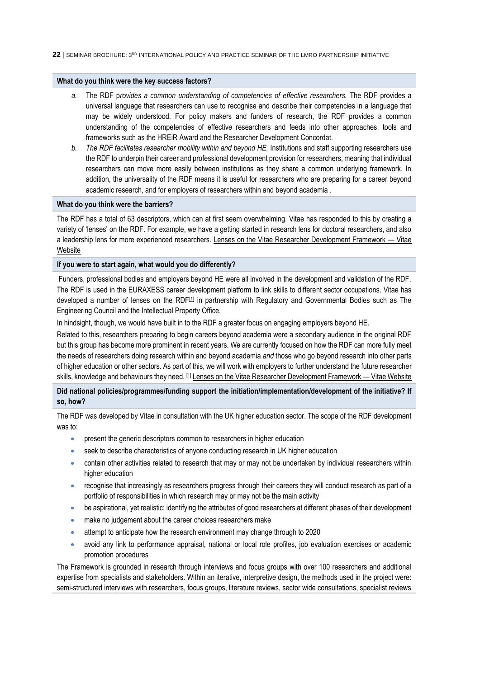#### **What do you think were the key success factors?**

- *a.* The RDF p*rovides a common understanding of competencies of effective researchers.* The RDF provides a universal language that researchers can use to recognise and describe their competencies in a language that may be widely understood. For policy makers and funders of research, the RDF provides a common understanding of the competencies of effective researchers and feeds into other approaches, tools and frameworks such as the HREiR Award and the Researcher Development Concordat.
- *b. The RDF facilitates researcher mobility within and beyond HE.* Institutions and staff supporting researchers use the RDF to underpin their career and professional development provision for researchers, meaning that individual researchers can move more easily between institutions as they share a common underlying framework. In addition, the universality of the RDF means it is useful for researchers who are preparing for a career beyond academic research, and for employers of researchers within and beyond academia .

#### **What do you think were the barriers?**

The RDF has a total of 63 descriptors, which can at first seem overwhelming. Vitae has responded to this by creating a variety of 'lenses' on the RDF. For example, we have a getting started in research lens for doctoral researchers, and also a leadership lens for more experienced researchers. [Lenses on the Vitae Researcher Development Framework](https://www.vitae.ac.uk/researchers-professional-development/about-the-vitae-researcher-development-framework/lenses-on-the-vitae-researcher-development-framework) — Vitae **[Website](https://www.vitae.ac.uk/researchers-professional-development/about-the-vitae-researcher-development-framework/lenses-on-the-vitae-researcher-development-framework)** 

#### **If you were to start again, what would you do differently?**

Funders, professional bodies and employers beyond HE were all involved in the development and validation of the RDF. The RDF is used in the EURAXESS career development platform to link skills to different sector occupations. Vitae has developed a number of lenses on the RDF<sup>[\[1\]](https://frc-word-edit.officeapps.live.com/we/wordeditorframe.aspx?ui=en%2DUS&rs=fr%2DFR&wopisrc=https%3A%2F%2Foecd-my.sharepoint.com%2Fpersonal%2Fnora_bruning_oecd_org%2F_vti_bin%2Fwopi.ashx%2Ffiles%2Fa330757ce47549a980f9005ff179b5b1&wdlor=c31334A42%2D2C49%2D4CCB%2D97D8%2D7BB8BC528E20&wdenableroaming=1&mscc=0&wdodb=1&hid=74AB29A0-101C-3000-B81C-7EC74FA276F8&wdorigin=Outlook-Body&wdhostclicktime=1647263241731&jsapi=1&jsapiver=v1&newsession=1&corrid=cd158c20-4a35-44d0-b803-40a647a06092&usid=cd158c20-4a35-44d0-b803-40a647a06092&sftc=1&mtf=1&sfp=1&instantedit=1&wopicomplete=1&wdredirectionreason=Unified_SingleFlush&rct=Medium&ctp=LeastProtected#_ftn1)</sup> in partnership with Regulatory and Governmental Bodies such as The Engineering Council and the Intellectual Property Office.

In hindsight, though, we would have built in to the RDF a greater focus on engaging employers beyond HE.

Related to this, researchers preparing to begin careers beyond academia were a secondary audience in the original RDF but this group has become more prominent in recent years. We are currently focused on how the RDF can more fully meet the needs of researchers doing research within and beyond academia *and* those who go beyond research into other parts of higher education or other sectors. As part of this, we will work with employers to further understand the future researcher skills, knowledge and behaviours they need. [\[1\]](https://frc-word-edit.officeapps.live.com/we/wordeditorframe.aspx?ui=en%2DUS&rs=fr%2DFR&wopisrc=https%3A%2F%2Foecd-my.sharepoint.com%2Fpersonal%2Fnora_bruning_oecd_org%2F_vti_bin%2Fwopi.ashx%2Ffiles%2Fa330757ce47549a980f9005ff179b5b1&wdlor=c31334A42%2D2C49%2D4CCB%2D97D8%2D7BB8BC528E20&wdenableroaming=1&mscc=0&wdodb=1&hid=74AB29A0-101C-3000-B81C-7EC74FA276F8&wdorigin=Outlook-Body&wdhostclicktime=1647263241731&jsapi=1&jsapiver=v1&newsession=1&corrid=cd158c20-4a35-44d0-b803-40a647a06092&usid=cd158c20-4a35-44d0-b803-40a647a06092&sftc=1&mtf=1&sfp=1&instantedit=1&wopicomplete=1&wdredirectionreason=Unified_SingleFlush&rct=Medium&ctp=LeastProtected#_ftnref1) [Lenses on the Vitae Researcher Development Framework](https://www.vitae.ac.uk/researchers-professional-development/about-the-vitae-researcher-development-framework/lenses-on-the-vitae-researcher-development-framework) — Vitae Website

## **Did national policies/programmes/funding support the initiation/implementation/development of the initiative? If so, how?**

The RDF was developed by Vitae in consultation with the UK higher education sector. The scope of the RDF development was to:

- **•** present the generic descriptors common to researchers in higher education
- seek to describe characteristics of anyone conducting research in UK higher education
- contain other activities related to research that may or may not be undertaken by individual researchers within higher education
- recognise that increasingly as researchers progress through their careers they will conduct research as part of a portfolio of responsibilities in which research may or may not be the main activity
- be aspirational, yet realistic: identifying the attributes of good researchers at different phases of their development
- make no judgement about the career choices researchers make
- attempt to anticipate how the research environment may change through to 2020
- avoid any link to performance appraisal, national or local role profiles, job evaluation exercises or academic promotion procedures

The Framework is grounded in research through interviews and focus groups with over 100 researchers and additional expertise from specialists and stakeholders. Within an iterative, interpretive design, the methods used in the project were: semi-structured interviews with researchers, focus groups, literature reviews, sector wide consultations, specialist reviews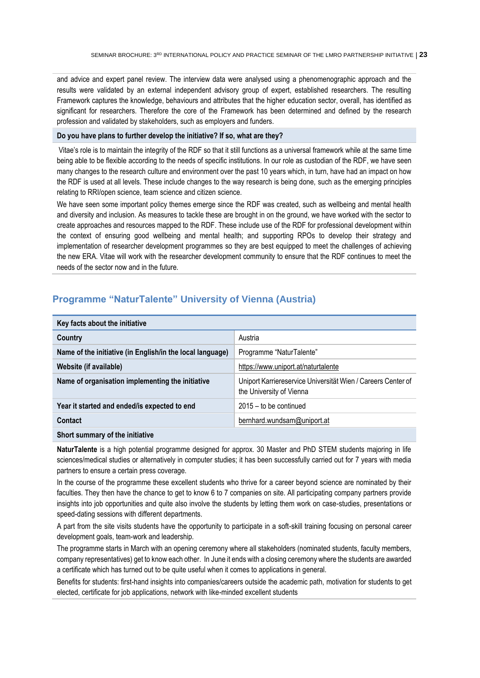and advice and expert panel review. The interview data were analysed using a phenomenographic approach and the results were validated by an external independent advisory group of expert, established researchers. The resulting Framework captures the knowledge, behaviours and attributes that the higher education sector, overall, has identified as significant for researchers. Therefore the core of the Framework has been determined and defined by the research profession and validated by stakeholders, such as employers and funders.

#### **Do you have plans to further develop the initiative? If so, what are they?**

Vitae's role is to maintain the integrity of the RDF so that it still functions as a universal framework while at the same time being able to be flexible according to the needs of specific institutions. In our role as custodian of the RDF, we have seen many changes to the research culture and environment over the past 10 years which, in turn, have had an impact on how the RDF is used at all levels. These include changes to the way research is being done, such as the emerging principles relating to RRI/open science, team science and citizen science.

We have seen some important policy themes emerge since the RDF was created, such as wellbeing and mental health and diversity and inclusion. As measures to tackle these are brought in on the ground, we have worked with the sector to create approaches and resources mapped to the RDF. These include use of the RDF for professional development within the context of ensuring good wellbeing and mental health; and supporting RPOs to develop their strategy and implementation of researcher development programmes so they are best equipped to meet the challenges of achieving the new ERA. Vitae will work with the researcher development community to ensure that the RDF continues to meet the needs of the sector now and in the future.

| Key facts about the initiative                            |                                                                                          |  |
|-----------------------------------------------------------|------------------------------------------------------------------------------------------|--|
| Country                                                   | Austria                                                                                  |  |
| Name of the initiative (in English/in the local language) | Programme "NaturTalente"                                                                 |  |
| Website (if available)                                    | https://www.uniport.at/naturtalente                                                      |  |
| Name of organisation implementing the initiative          | Uniport Karriereservice Universität Wien / Careers Center of<br>the University of Vienna |  |
| Year it started and ended/is expected to end              | $2015 -$ to be continued                                                                 |  |
| Contact                                                   | bernhard.wundsam@uniport.at                                                              |  |
|                                                           |                                                                                          |  |

## <span id="page-22-0"></span>**Programme "NaturTalente" University of Vienna (Austria)**

#### **Short summary of the initiative**

**NaturTalente** is a high potential programme designed for approx. 30 Master and PhD STEM students majoring in life sciences/medical studies or alternatively in computer studies; it has been successfully carried out for 7 years with media partners to ensure a certain press coverage.

In the course of the programme these excellent students who thrive for a career beyond science are nominated by their faculties. They then have the chance to get to know 6 to 7 companies on site. All participating company partners provide insights into job opportunities and quite also involve the students by letting them work on case-studies, presentations or speed-dating sessions with different departments.

A part from the site visits students have the opportunity to participate in a soft-skill training focusing on personal career development goals, team-work and leadership.

The programme starts in March with an opening ceremony where all stakeholders (nominated students, faculty members, company representatives) get to know each other. In June it ends with a closing ceremony where the students are awarded a certificate which has turned out to be quite useful when it comes to applications in general.

Benefits for students: first-hand insights into companies/careers outside the academic path, motivation for students to get elected, certificate for job applications, network with like-minded excellent students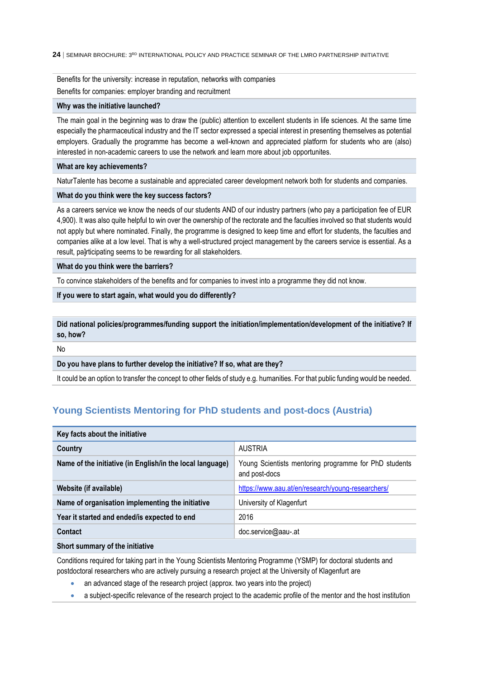Benefits for the university: increase in reputation, networks with companies Benefits for companies: employer branding and recruitment

#### **Why was the initiative launched?**

The main goal in the beginning was to draw the (public) attention to excellent students in life sciences. At the same time especially the pharmaceutical industry and the IT sector expressed a special interest in presenting themselves as potential employers. Gradually the programme has become a well-known and appreciated platform for students who are (also) interested in non-academic careers to use the network and learn more about job opportunites.

#### **What are key achievements?**

NaturTalente has become a sustainable and appreciated career development network both for students and companies.

#### **What do you think were the key success factors?**

As a careers service we know the needs of our students AND of our industry partners (who pay a participation fee of EUR 4,900). It was also quite helpful to win over the ownership of the rectorate and the faculties involved so that students would not apply but where nominated. Finally, the programme is designed to keep time and effort for students, the faculties and companies alike at a low level. That is why a well-structured project management by the careers service is essential. As a result, pa]rticipating seems to be rewarding for all stakeholders.

**What do you think were the barriers?**

To convince stakeholders of the benefits and for companies to invest into a programme they did not know.

### **If you were to start again, what would you do differently?**

**Did national policies/programmes/funding support the initiation/implementation/development of the initiative? If so, how?**

No

#### **Do you have plans to further develop the initiative? If so, what are they?**

<span id="page-23-0"></span>It could be an option to transfer the concept to other fields of study e.g. humanities. For that public funding would be needed.

## **Young Scientists Mentoring for PhD students and post-docs (Austria)**

| Key facts about the initiative                            |                                                                        |  |
|-----------------------------------------------------------|------------------------------------------------------------------------|--|
| Country                                                   | <b>AUSTRIA</b>                                                         |  |
| Name of the initiative (in English/in the local language) | Young Scientists mentoring programme for PhD students<br>and post-docs |  |
| Website (if available)                                    | https://www.aau.at/en/research/young-researchers/                      |  |
| Name of organisation implementing the initiative          | University of Klagenfurt                                               |  |
| Year it started and ended/is expected to end              | 2016                                                                   |  |
| Contact                                                   | doc.service@aau-.at                                                    |  |
| <b>AII</b>                                                |                                                                        |  |

#### **Short summary of the initiative**

Conditions required for taking part in the Young Scientists Mentoring Programme (YSMP) for doctoral students and postdoctoral researchers who are actively pursuing a research project at the University of Klagenfurt are

- an advanced stage of the research project (approx. two years into the project)
- a subject-specific relevance of the research project to the academic profile of the mentor and the host institution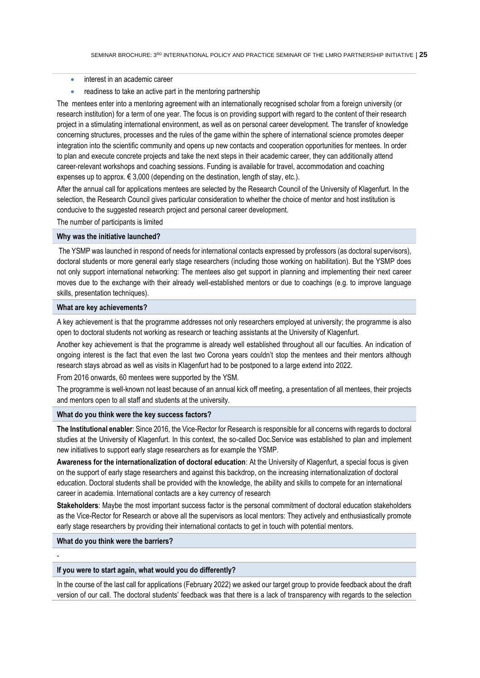- interest in an academic career
- readiness to take an active part in the mentoring partnership

The mentees enter into a mentoring agreement with an internationally recognised scholar from a foreign university (or research institution) for a term of one year. The focus is on providing support with regard to the content of their research project in a stimulating international environment, as well as on personal career development. The transfer of knowledge concerning structures, processes and the rules of the game within the sphere of international science promotes deeper integration into the scientific community and opens up new contacts and cooperation opportunities for mentees. In order to plan and execute concrete projects and take the next steps in their academic career, they can additionally attend career-relevant workshops and coaching sessions. Funding is available for travel, accommodation and coaching expenses up to approx.  $\in$  3,000 (depending on the destination, length of stay, etc.).

After the annual call for applications mentees are selected by the Research Council of the University of Klagenfurt. In the selection, the Research Council gives particular consideration to whether the choice of mentor and host institution is conducive to the suggested research project and personal career development.

The number of participants is limited

#### **Why was the initiative launched?**

The YSMP was launched in respond of needs for international contacts expressed by professors (as doctoral supervisors), doctoral students or more general early stage researchers (including those working on habilitation). But the YSMP does not only support international networking: The mentees also get support in planning and implementing their next career moves due to the exchange with their already well-established mentors or due to coachings (e.g. to improve language skills, presentation techniques).

### **What are key achievements?**

A key achievement is that the programme addresses not only researchers employed at university; the programme is also open to doctoral students not working as research or teaching assistants at the University of Klagenfurt.

Another key achievement is that the programme is already well established throughout all our faculties. An indication of ongoing interest is the fact that even the last two Corona years couldn't stop the mentees and their mentors although research stays abroad as well as visits in Klagenfurt had to be postponed to a large extend into 2022.

From 2016 onwards, 60 mentees were supported by the YSM.

The programme is well-known not least because of an annual kick off meeting*,* a presentation of all mentees, their projects and mentors open to all staff and students at the university.

#### **What do you think were the key success factors?**

**The Institutional enabler**: Since 2016, the Vice-Rector for Research is responsible for all concerns with regards to doctoral studies at the University of Klagenfurt. In this context, the so-called Doc.Service was established to plan and implement new initiatives to support early stage researchers as for example the YSMP.

**Awareness for the internationalization of doctoral education**: At the University of Klagenfurt, a special focus is given on the support of early stage researchers and against this backdrop, on the increasing internationalization of doctoral education. Doctoral students shall be provided with the knowledge, the ability and skills to compete for an international career in academia. International contacts are a key currency of research

**Stakeholders**: Maybe the most important success factor is the personal commitment of doctoral education stakeholders as the Vice-Rector for Research or above all the supervisors as local mentors: They actively and enthusiastically promote early stage researchers by providing their international contacts to get in touch with potential mentors.

#### **What do you think were the barriers?**

-

#### **If you were to start again, what would you do differently?**

In the course of the last call for applications (February 2022) we asked our target group to provide feedback about the draft version of our call. The doctoral students' feedback was that there is a lack of transparency with regards to the selection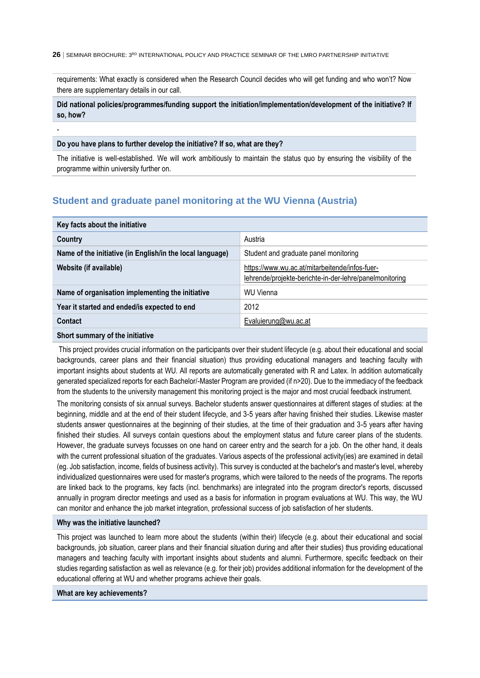requirements: What exactly is considered when the Research Council decides who will get funding and who won't? Now there are supplementary details in our call.

## **Did national policies/programmes/funding support the initiation/implementation/development of the initiative? If so, how?**

#### **Do you have plans to further develop the initiative? If so, what are they?**

-

The initiative is well-established. We will work ambitiously to maintain the status quo by ensuring the visibility of the programme within university further on.

## <span id="page-25-0"></span>**Student and graduate panel monitoring at the WU Vienna (Austria)**

| Key facts about the initiative                            |                                                                                                           |  |
|-----------------------------------------------------------|-----------------------------------------------------------------------------------------------------------|--|
| Country                                                   | Austria                                                                                                   |  |
| Name of the initiative (in English/in the local language) | Student and graduate panel monitoring                                                                     |  |
| Website (if available)                                    | https://www.wu.ac.at/mitarbeitende/infos-fuer-<br>lehrende/projekte-berichte-in-der-lehre/panelmonitoring |  |
| Name of organisation implementing the initiative          | WU Vienna                                                                                                 |  |
| Year it started and ended/is expected to end              | 2012                                                                                                      |  |
| Contact                                                   | Evaluierung@wu.ac.at                                                                                      |  |
| Short summary of the initiative                           |                                                                                                           |  |

This project provides crucial information on the participants over their student lifecycle (e.g. about their educational and social backgrounds, career plans and their financial situation) thus providing educational managers and teaching faculty with important insights about students at WU. All reports are automatically generated with R and Latex. In addition automatically generated specialized reports for each Bachelor/-Master Program are provided (if n>20). Due to the immediacy of the feedback from the students to the university management this monitoring project is the major and most crucial feedback instrument.

The monitoring consists of six annual surveys. Bachelor students answer questionnaires at different stages of studies: at the beginning, middle and at the end of their student lifecycle, and 3-5 years after having finished their studies. Likewise master students answer questionnaires at the beginning of their studies, at the time of their graduation and 3-5 years after having finished their studies. All surveys contain questions about the employment status and future career plans of the students. However, the graduate surveys focusses on one hand on career entry and the search for a job. On the other hand, it deals with the current professional situation of the graduates. Various aspects of the professional activity(ies) are examined in detail (eg. Job satisfaction, income, fields of business activity). This survey is conducted at the bachelor's and master's level, whereby individualized questionnaires were used for master's programs, which were tailored to the needs of the programs. The reports are linked back to the programs, key facts (incl. benchmarks) are integrated into the program director's reports, discussed annually in program director meetings and used as a basis for information in program evaluations at WU. This way, the WU can monitor and enhance the job market integration, professional success of job satisfaction of her students.

#### **Why was the initiative launched?**

This project was launched to learn more about the students (within their) lifecycle (e.g. about their educational and social backgrounds, job situation, career plans and their financial situation during and after their studies) thus providing educational managers and teaching faculty with important insights about students and alumni. Furthermore, specific feedback on their studies regarding satisfaction as well as relevance (e.g. for their job) provides additional information for the development of the educational offering at WU and whether programs achieve their goals.

#### **What are key achievements?**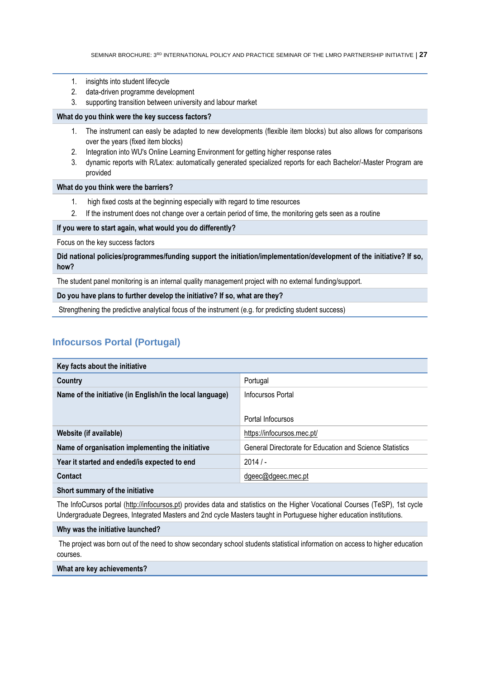- 1. insights into student lifecycle
- 2. data-driven programme development
- 3. supporting transition between university and labour market

#### **What do you think were the key success factors?**

- 1. The instrument can easly be adapted to new developments (flexible item blocks) but also allows for comparisons over the years (fixed item blocks)
- 2. Integration into WU's Online Learning Environment for getting higher response rates
- 3. dynamic reports with R/Latex: automatically generated specialized reports for each Bachelor/-Master Program are provided

#### **What do you think were the barriers?**

- 1. high fixed costs at the beginning especially with regard to time resources
- 2. If the instrument does not change over a certain period of time, the monitoring gets seen as a routine

#### **If you were to start again, what would you do differently?**

Focus on the key success factors

**Did national policies/programmes/funding support the initiation/implementation/development of the initiative? If so, how?**

The student panel monitoring is an internal quality management project with no external funding/support.

**Do you have plans to further develop the initiative? If so, what are they?**

<span id="page-26-0"></span>Strengthening the predictive analytical focus of the instrument (e.g. for predicting student success)

## **Infocursos Portal (Portugal)**

| Key facts about the initiative                                            |                                                          |  |
|---------------------------------------------------------------------------|----------------------------------------------------------|--|
| Country                                                                   | Portugal                                                 |  |
| Name of the initiative (in English/in the local language)                 | Infocursos Portal                                        |  |
|                                                                           |                                                          |  |
|                                                                           | Portal Infocursos                                        |  |
| Website (if available)                                                    | https://infocursos.mec.pt/                               |  |
| Name of organisation implementing the initiative                          | General Directorate for Education and Science Statistics |  |
| Year it started and ended/is expected to end                              | 2014/                                                    |  |
| Contact                                                                   | dgeec@dgeec.mec.pt                                       |  |
| $\mathbf{A}$ . The second contract of the second contract of $\mathbf{A}$ |                                                          |  |

#### **Short summary of the initiative**

The InfoCursos portal [\(http://infocursos.pt\)](http://infocursos.pt/) provides data and statistics on the Higher Vocational Courses (TeSP), 1st cycle Undergraduate Degrees, Integrated Masters and 2nd cycle Masters taught in Portuguese higher education institutions.

#### **Why was the initiative launched?**

The project was born out of the need to show secondary school students statistical information on access to higher education courses.

#### **What are key achievements?**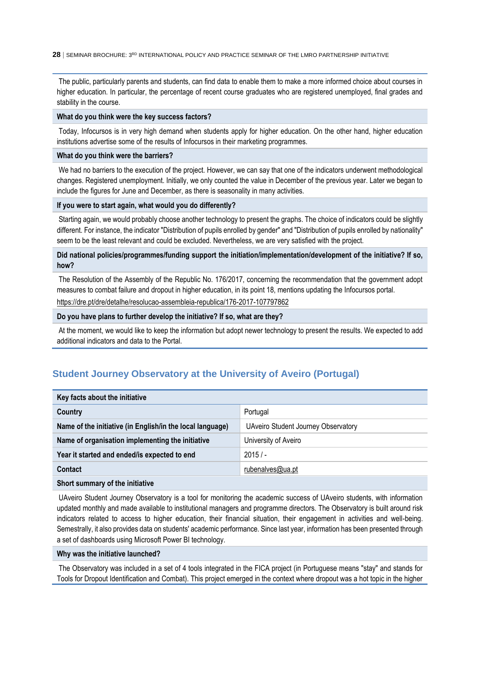The public, particularly parents and students, can find data to enable them to make a more informed choice about courses in higher education. In particular, the percentage of recent course graduates who are registered unemployed, final grades and stability in the course.

#### **What do you think were the key success factors?**

Today, Infocursos is in very high demand when students apply for higher education. On the other hand, higher education institutions advertise some of the results of Infocursos in their marketing programmes.

#### **What do you think were the barriers?**

We had no barriers to the execution of the project. However, we can say that one of the indicators underwent methodological changes. Registered unemployment. Initially, we only counted the value in December of the previous year. Later we began to include the figures for June and December, as there is seasonality in many activities.

#### **If you were to start again, what would you do differently?**

Starting again, we would probably choose another technology to present the graphs. The choice of indicators could be slightly different. For instance, the indicator "Distribution of pupils enrolled by gender" and "Distribution of pupils enrolled by nationality" seem to be the least relevant and could be excluded. Nevertheless, we are very satisfied with the project.

#### **Did national policies/programmes/funding support the initiation/implementation/development of the initiative? If so, how?**

The Resolution of the Assembly of the Republic No. 176/2017, concerning the recommendation that the government adopt measures to combat failure and dropout in higher education, in its point 18, mentions updating the Infocursos portal. <https://dre.pt/dre/detalhe/resolucao-assembleia-republica/176-2017-107797862>

#### **Do you have plans to further develop the initiative? If so, what are they?**

At the moment, we would like to keep the information but adopt newer technology to present the results. We expected to add additional indicators and data to the Portal.

## <span id="page-27-0"></span>**Student Journey Observatory at the University of Aveiro (Portugal)**

| Key facts about the initiative                            |                                     |
|-----------------------------------------------------------|-------------------------------------|
| Country                                                   | Portugal                            |
| Name of the initiative (in English/in the local language) | UAveiro Student Journey Observatory |
| Name of organisation implementing the initiative          | University of Aveiro                |
| Year it started and ended/is expected to end              | 2015/                               |
| <b>Contact</b>                                            | rubenalves@ua.pt                    |
| Short summary of the initiative                           |                                     |

## UAveiro Student Journey Observatory is a tool for monitoring the academic success of UAveiro students, with information updated monthly and made available to institutional managers and programme directors. The Observatory is built around risk indicators related to access to higher education, their financial situation, their engagement in activities and well-being. Semestrally, it also provides data on students' academic performance. Since last year, information has been presented through a set of dashboards using Microsoft Power BI technology.

#### **Why was the initiative launched?**

The Observatory was included in a set of 4 tools integrated in the FICA project (in Portuguese means "stay" and stands for Tools for Dropout Identification and Combat). This project emerged in the context where dropout was a hot topic in the higher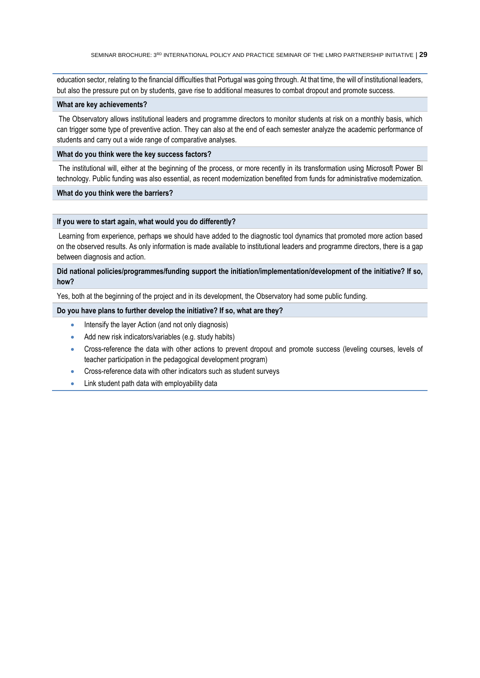education sector, relating to the financial difficulties that Portugal was going through. At that time, the will of institutional leaders, but also the pressure put on by students, gave rise to additional measures to combat dropout and promote success.

#### **What are key achievements?**

The Observatory allows institutional leaders and programme directors to monitor students at risk on a monthly basis, which can trigger some type of preventive action. They can also at the end of each semester analyze the academic performance of students and carry out a wide range of comparative analyses.

#### **What do you think were the key success factors?**

The institutional will, either at the beginning of the process, or more recently in its transformation using Microsoft Power BI technology. Public funding was also essential, as recent modernization benefited from funds for administrative modernization.

#### **What do you think were the barriers?**

#### **If you were to start again, what would you do differently?**

Learning from experience, perhaps we should have added to the diagnostic tool dynamics that promoted more action based on the observed results. As only information is made available to institutional leaders and programme directors, there is a gap between diagnosis and action.

#### **Did national policies/programmes/funding support the initiation/implementation/development of the initiative? If so, how?**

Yes, both at the beginning of the project and in its development, the Observatory had some public funding.

#### **Do you have plans to further develop the initiative? If so, what are they?**

- Intensify the layer Action (and not only diagnosis)
- Add new risk indicators/variables (e.g. study habits)
- Cross-reference the data with other actions to prevent dropout and promote success (leveling courses, levels of teacher participation in the pedagogical development program)
- Cross-reference data with other indicators such as student surveys
- Link student path data with employability data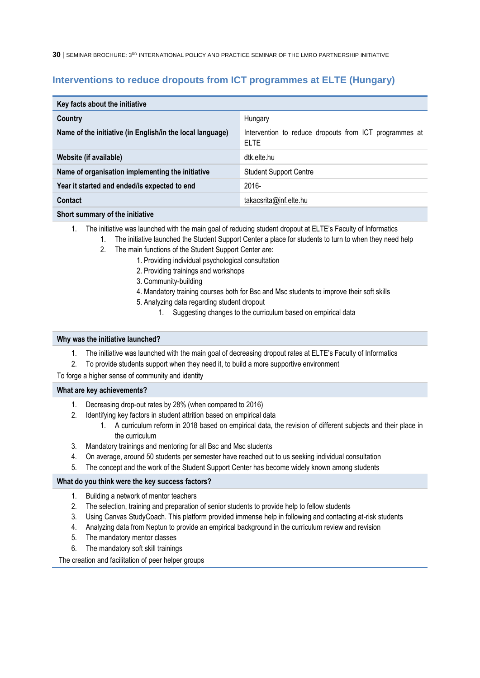## <span id="page-29-0"></span>**Interventions to reduce dropouts from ICT programmes at ELTE (Hungary)**

| Key facts about the initiative                            |                                                                       |
|-----------------------------------------------------------|-----------------------------------------------------------------------|
| Country                                                   | Hungary                                                               |
| Name of the initiative (in English/in the local language) | Intervention to reduce dropouts from ICT programmes at<br><b>ELTE</b> |
| Website (if available)                                    | dtk.elte.hu                                                           |
| Name of organisation implementing the initiative          | <b>Student Support Centre</b>                                         |
| Year it started and ended/is expected to end              | 2016-                                                                 |
| Contact                                                   | takacsrita@inf.elte.hu                                                |
| Short summary of the initiative                           |                                                                       |

#### 1. The initiative was launched with the main goal of reducing student dropout at ELTE's Faculty of Informatics

- 1. The initiative launched the Student Support Center a place for students to turn to when they need help
	- 2. The main functions of the Student Support Center are:
		- 1. Providing individual psychological consultation
		- 2. Providing trainings and workshops
		- 3. Community-building
		- 4. Mandatory training courses both for Bsc and Msc students to improve their soft skills
		- 5. Analyzing data regarding student dropout
			- 1. Suggesting changes to the curriculum based on empirical data

#### **Why was the initiative launched?**

- 1. The initiative was launched with the main goal of decreasing dropout rates at ELTE's Faculty of Informatics
- 2. To provide students support when they need it, to build a more supportive environment

To forge a higher sense of community and identity

#### **What are key achievements?**

- 1. Decreasing drop-out rates by 28% (when compared to 2016)
- 2. Identifying key factors in student attrition based on empirical data
	- 1. A curriculum reform in 2018 based on empirical data, the revision of different subjects and their place in the curriculum
- 3. Mandatory trainings and mentoring for all Bsc and Msc students
- 4. On average, around 50 students per semester have reached out to us seeking individual consultation
- 5. The concept and the work of the Student Support Center has become widely known among students

#### **What do you think were the key success factors?**

- 1. Building a network of mentor teachers
- 2. The selection, training and preparation of senior students to provide help to fellow students
- 3. Using Canvas StudyCoach. This platform provided immense help in following and contacting at-risk students
- 4. Analyzing data from Neptun to provide an empirical background in the curriculum review and revision
- 5. The mandatory mentor classes
- 6. The mandatory soft skill trainings

The creation and facilitation of peer helper groups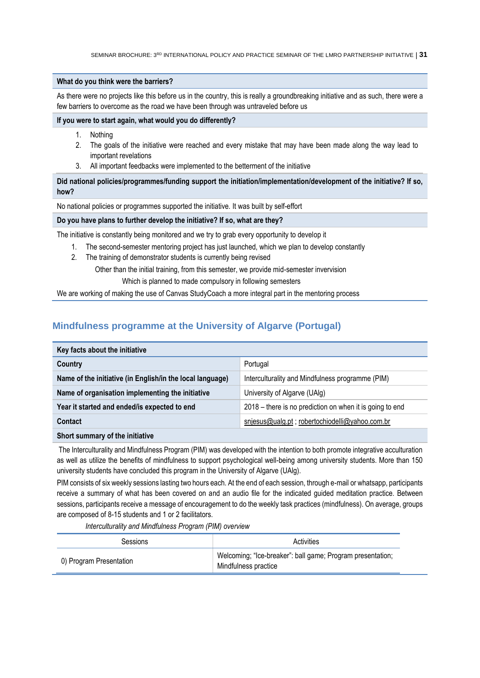#### **What do you think were the barriers?**

As there were no projects like this before us in the country, this is really a groundbreaking initiative and as such, there were a few barriers to overcome as the road we have been through was untraveled before us

#### **If you were to start again, what would you do differently?**

- 1. Nothing
- 2. The goals of the initiative were reached and every mistake that may have been made along the way lead to important revelations
- 3. All important feedbacks were implemented to the betterment of the initiative

**Did national policies/programmes/funding support the initiation/implementation/development of the initiative? If so, how?**

No national policies or programmes supported the initiative. It was built by self-effort

#### **Do you have plans to further develop the initiative? If so, what are they?**

The initiative is constantly being monitored and we try to grab every opportunity to develop it

- 1. The second-semester mentoring project has just launched, which we plan to develop constantly
- 2. The training of demonstrator students is currently being revised

Other than the initial training, from this semester, we provide mid-semester invervision

Which is planned to made compulsory in following semesters

<span id="page-30-0"></span>We are working of making the use of Canvas StudyCoach a more integral part in the mentoring process

## **Mindfulness programme at the University of Algarve (Portugal)**

| Key facts about the initiative                            |                                                          |
|-----------------------------------------------------------|----------------------------------------------------------|
| Country                                                   | Portugal                                                 |
| Name of the initiative (in English/in the local language) | Interculturality and Mindfulness programme (PIM)         |
| Name of organisation implementing the initiative          | University of Algarve (UAlg)                             |
| Year it started and ended/is expected to end              | 2018 – there is no prediction on when it is going to end |
| Contact                                                   | snjesus@ualg.pt; robertochiodelli@yahoo.com.br           |
|                                                           |                                                          |

#### **Short summary of the initiative**

The Interculturality and Mindfulness Program (PIM) was developed with the intention to both promote integrative acculturation as well as utilize the benefits of mindfulness to support psychological well-being among university students. More than 150 university students have concluded this program in the University of Algarve (UAlg).

PIM consists of six weekly sessions lasting two hours each. At the end of each session, through e-mail or whatsapp, participants receive a summary of what has been covered on and an audio file for the indicated guided meditation practice. Between sessions, participants receive a message of encouragement to do the weekly task practices (mindfulness). On average, groups are composed of 8-15 students and 1 or 2 facilitators.

*Interculturality and Mindfulness Program (PIM) overview* 

| Sessions                | Activities                                                                         |
|-------------------------|------------------------------------------------------------------------------------|
| 0) Program Presentation | Welcoming; "Ice-breaker": ball game; Program presentation;<br>Mindfulness practice |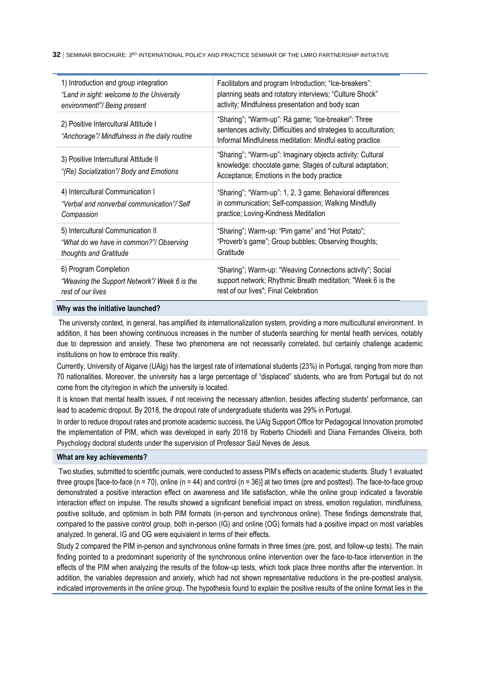| 1) Introduction and group integration                                                 | Facilitators and program Introduction; "Ice-breakers":                                                                                                                               |
|---------------------------------------------------------------------------------------|--------------------------------------------------------------------------------------------------------------------------------------------------------------------------------------|
| "Land in sight: welcome to the University                                             | planning seats and rotatory interviews; "Culture Shock"                                                                                                                              |
| environment!"/ Being present                                                          | activity; Mindfulness presentation and body scan                                                                                                                                     |
| 2) Positive Intercultural Attitude I<br>"Anchorage"/ Mindfulness in the daily routine | "Sharing"; "Warm-up": Rá game; "Ice-breaker": Three<br>sentences activity; Difficulties and strategies to acculturation;<br>Informal Mindfulness meditation: Mindful eating practice |
| 3) Positive Intercultural Attitude II<br>"(Re) Socialization"/ Body and Emotions      | "Sharing"; "Warm-up": Imaginary objects activity; Cultural<br>knowledge: chocolate game; Stages of cultural adaptation;<br>Acceptance; Emotions in the body practice                 |
| 4) Intercultural Communication I                                                      | "Sharing"; "Warm-up": 1, 2, 3 game; Behavioral differences                                                                                                                           |
| "Verbal and nonverbal communication"/Self                                             | in communication; Self-compassion; Walking Mindfully                                                                                                                                 |
| Compassion                                                                            | practice; Loving-Kindness Meditation                                                                                                                                                 |
| 5) Intercultural Communication II                                                     | "Sharing"; Warm-up: "Pim game" and "Hot Potato";                                                                                                                                     |
| "What do we have in common?"/ Observing                                               | "Proverb's game"; Group bubbles; Observing thoughts;                                                                                                                                 |
| thoughts and Gratitude                                                                | Gratitude                                                                                                                                                                            |
| 6) Program Completion                                                                 | "Sharing"; Warm-up: "Weaving Connections activity"; Social                                                                                                                           |
| "Weaving the Support Network"/ Week 6 is the                                          | support network; Rhythmic Breath meditation; "Week 6 is the                                                                                                                          |
| rest of our lives                                                                     | rest of our lives"; Final Celebration                                                                                                                                                |

#### **Why was the initiative launched?**

The university context, in general, has amplified its internationalization system, providing a more multicultural environment. In addition, it has been showing continuous increases in the number of students searching for mental health services, notably due to depression and anxiety. These two phenomena are not necessarily correlated, but certainly challenge academic institutions on how to embrace this reality.

Currently, University of Algarve (UAlg) has the largest rate of international students (23%) in Portugal, ranging from more than 70 nationalities. Moreover, the university has a large percentage of "displaced" students, who are from Portugal but do not come from the city/region in which the university is located.

It is known that mental health issues, if not receiving the necessary attention, besides affecting students' performance, can lead to academic dropout. By 2018, the dropout rate of undergraduate students was 29% in Portugal.

In order to reduce dropout rates and promote academic success, the UAlg Support Office for Pedagogical Innovation promoted the implementation of PIM, which was developed in early 2018 by Roberto Chiodelli and Diana Fernandes Oliveira, both Psychology doctoral students under the supervision of Professor Saúl Neves de Jesus.

#### **What are key achievements?**

Two studies, submitted to scientific journals, were conducted to assess PIM's effects on academic students. Study 1 evaluated three groups [face-to-face ( $n = 70$ ), online ( $n = 44$ ) and control ( $n = 36$ )] at two times (pre and posttest). The face-to-face group demonstrated a positive interaction effect on awareness and life satisfaction, while the online group indicated a favorable interaction effect on impulse. The results showed a significant beneficial impact on stress, emotion regulation, mindfulness, positive solitude, and optimism in both PIM formats (in-person and synchronous online). These findings demonstrate that, compared to the passive control group, both in-person (IG) and online (OG) formats had a positive impact on most variables analyzed. In general, IG and OG were equivalent in terms of their effects.

Study 2 compared the PIM in-person and synchronous online formats in three times (pre, post, and follow-up tests). The main finding pointed to a predominant superiority of the synchronous online intervention over the face-to-face intervention in the effects of the PIM when analyzing the results of the follow-up tests, which took place three months after the intervention. In addition, the variables depression and anxiety, which had not shown representative reductions in the pre-posttest analysis, indicated improvements in the online group. The hypothesis found to explain the positive results of the online format lies in the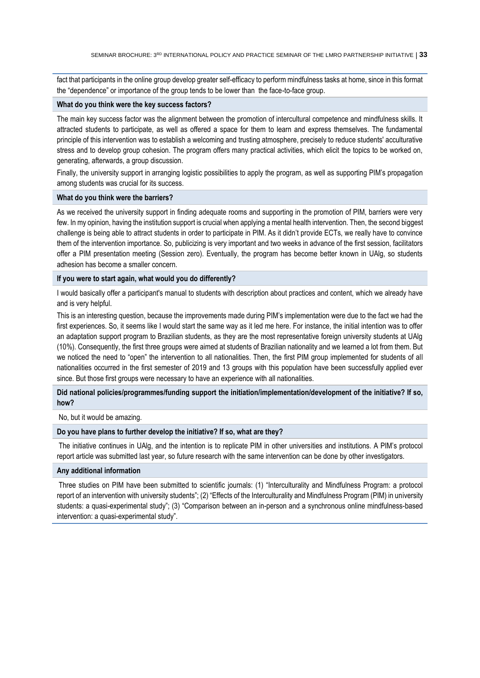fact that participants in the online group develop greater self-efficacy to perform mindfulness tasks at home, since in this format the "dependence" or importance of the group tends to be lower than the face-to-face group.

#### **What do you think were the key success factors?**

The main key success factor was the alignment between the promotion of intercultural competence and mindfulness skills. It attracted students to participate, as well as offered a space for them to learn and express themselves. The fundamental principle of this intervention was to establish a welcoming and trusting atmosphere, precisely to reduce students' acculturative stress and to develop group cohesion. The program offers many practical activities, which elicit the topics to be worked on, generating, afterwards, a group discussion.

Finally, the university support in arranging logistic possibilities to apply the program, as well as supporting PIM's propagation among students was crucial for its success.

#### **What do you think were the barriers?**

As we received the university support in finding adequate rooms and supporting in the promotion of PIM, barriers were very few. In my opinion, having the institution support is crucial when applying a mental health intervention. Then, the second biggest challenge is being able to attract students in order to participate in PIM. As it didn't provide ECTs, we really have to convince them of the intervention importance. So, publicizing is very important and two weeks in advance of the first session, facilitators offer a PIM presentation meeting (Session zero). Eventually, the program has become better known in UAlg, so students adhesion has become a smaller concern.

#### **If you were to start again, what would you do differently?**

I would basically offer a participant's manual to students with description about practices and content, which we already have and is very helpful.

This is an interesting question, because the improvements made during PIM's implementation were due to the fact we had the first experiences. So, it seems like I would start the same way as it led me here. For instance, the initial intention was to offer an adaptation support program to Brazilian students, as they are the most representative foreign university students at UAlg (10%). Consequently, the first three groups were aimed at students of Brazilian nationality and we learned a lot from them. But we noticed the need to "open" the intervention to all nationalities. Then, the first PIM group implemented for students of all nationalities occurred in the first semester of 2019 and 13 groups with this population have been successfully applied ever since. But those first groups were necessary to have an experience with all nationalities.

#### **Did national policies/programmes/funding support the initiation/implementation/development of the initiative? If so, how?**

No, but it would be amazing.

### **Do you have plans to further develop the initiative? If so, what are they?**

The initiative continues in UAlg, and the intention is to replicate PIM in other universities and institutions. A PIM's protocol report article was submitted last year, so future research with the same intervention can be done by other investigators.

#### **Any additional information**

Three studies on PIM have been submitted to scientific journals: (1) "Interculturality and Mindfulness Program: a protocol report of an intervention with university students"; (2) "Effects of the Interculturality and Mindfulness Program (PIM) in university students: a quasi-experimental study"; (3) "Comparison between an in-person and a synchronous online mindfulness-based intervention: a quasi-experimental study".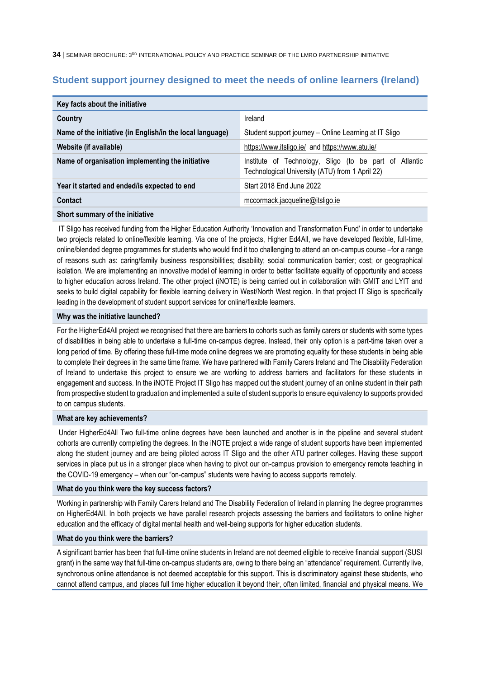## <span id="page-33-0"></span>**Student support journey designed to meet the needs of online learners (Ireland)**

| Key facts about the initiative                            |                                                                                                           |
|-----------------------------------------------------------|-----------------------------------------------------------------------------------------------------------|
| Country                                                   | Ireland                                                                                                   |
| Name of the initiative (in English/in the local language) | Student support journey - Online Learning at IT Sligo                                                     |
| Website (if available)                                    | https://www.itsligo.ie/ and https://www.atu.ie/                                                           |
| Name of organisation implementing the initiative          | Institute of Technology, Sligo (to be part of Atlantic<br>Technological University (ATU) from 1 April 22) |
| Year it started and ended/is expected to end              | Start 2018 End June 2022                                                                                  |
| Contact                                                   | mccormack.jacqueline@itsligo.ie                                                                           |
|                                                           |                                                                                                           |

#### **Short summary of the initiative**

IT Sligo has received funding from the Higher Education Authority 'Innovation and Transformation Fund' in order to undertake two projects related to online/flexible learning. Via one of the projects, Higher Ed4All, we have developed flexible, full-time, online/blended degree programmes for students who would find it too challenging to attend an on-campus course –for a range of reasons such as: caring/family business responsibilities; disability; social communication barrier; cost; or geographical isolation. We are implementing an innovative model of learning in order to better facilitate equality of opportunity and access to higher education across Ireland. The other project (iNOTE) is being carried out in collaboration with GMIT and LYIT and seeks to build digital capability for flexible learning delivery in West/North West region. In that project IT Sligo is specifically leading in the development of student support services for online/flexible learners.

#### **Why was the initiative launched?**

For the HigherEd4All project we recognised that there are barriers to cohorts such as family carers or students with some types of disabilities in being able to undertake a full-time on-campus degree. Instead, their only option is a part-time taken over a long period of time. By offering these full-time mode online degrees we are promoting equality for these students in being able to complete their degrees in the same time frame. We have partnered with Family Carers Ireland and The Disability Federation of Ireland to undertake this project to ensure we are working to address barriers and facilitators for these students in engagement and success. In the iNOTE Project IT Sligo has mapped out the student journey of an online student in their path from prospective student to graduation and implemented a suite of student supports to ensure equivalency to supports provided to on campus students.

#### **What are key achievements?**

Under HigherEd4All Two full-time online degrees have been launched and another is in the pipeline and several student cohorts are currently completing the degrees. In the iNOTE project a wide range of student supports have been implemented along the student journey and are being piloted across IT Sligo and the other ATU partner colleges. Having these support services in place put us in a stronger place when having to pivot our on-campus provision to emergency remote teaching in the COVID-19 emergency – when our "on-campus" students were having to access supports remotely.

#### **What do you think were the key success factors?**

Working in partnership with Family Carers Ireland and The Disability Federation of Ireland in planning the degree programmes on HigherEd4All. In both projects we have parallel research projects assessing the barriers and facilitators to online higher education and the efficacy of digital mental health and well-being supports for higher education students.

#### **What do you think were the barriers?**

A significant barrier has been that full-time online students in Ireland are not deemed eligible to receive financial support (SUSI grant) in the same way that full-time on-campus students are, owing to there being an "attendance" requirement. Currently live, synchronous online attendance is not deemed acceptable for this support. This is discriminatory against these students, who cannot attend campus, and places full time higher education it beyond their, often limited, financial and physical means. We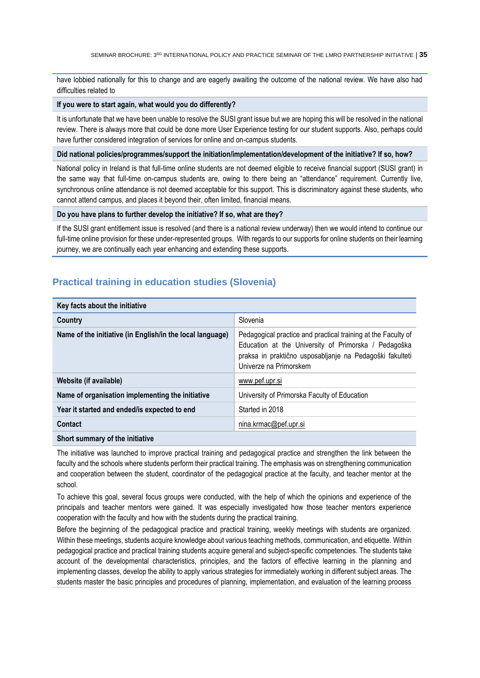have lobbied nationally for this to change and are eagerly awaiting the outcome of the national review. We have also had difficulties related to

#### **If you were to start again, what would you do differently?**

It is unfortunate that we have been unable to resolve the SUSI grant issue but we are hoping this will be resolved in the national review. There is always more that could be done more User Experience testing for our student supports. Also, perhaps could have further considered integration of services for online and on-campus students.

#### **Did national policies/programmes/support the initiation/implementation/development of the initiative? If so, how?**

National policy in Ireland is that full-time online students are not deemed eligible to receive financial support (SUSI grant) in the same way that full-time on-campus students are, owing to there being an "attendance" requirement. Currently live, synchronous online attendance is not deemed acceptable for this support. This is discriminatory against these students, who cannot attend campus, and places it beyond their, often limited, financial means.

#### **Do you have plans to further develop the initiative? If so, what are they?**

If the SUSI grant entitlement issue is resolved (and there is a national review underway) then we would intend to continue our full-time online provision for these under-represented groups. With regards to our supports for online students on their learning journey, we are continually each year enhancing and extending these supports.

## <span id="page-34-0"></span>**Practical training in education studies (Slovenia)**

| Key facts about the initiative                            |                                                                                                                                                                                                             |
|-----------------------------------------------------------|-------------------------------------------------------------------------------------------------------------------------------------------------------------------------------------------------------------|
| Country                                                   | Slovenia                                                                                                                                                                                                    |
| Name of the initiative (in English/in the local language) | Pedagogical practice and practical training at the Faculty of<br>Education at the University of Primorska / Pedagoška<br>praksa in praktično usposabljanje na Pedagoški fakulteti<br>Univerze na Primorskem |
| Website (if available)                                    | www.pef.upr.si                                                                                                                                                                                              |
| Name of organisation implementing the initiative          | University of Primorska Faculty of Education                                                                                                                                                                |
| Year it started and ended/is expected to end              | Started in 2018                                                                                                                                                                                             |
| Contact                                                   | nina.krmac@pef.upr.si                                                                                                                                                                                       |
|                                                           |                                                                                                                                                                                                             |

#### **Short summary of the initiative**

The initiative was launched to improve practical training and pedagogical practice and strengthen the link between the faculty and the schools where students perform their practical training. The emphasis was on strengthening communication and cooperation between the student, coordinator of the pedagogical practice at the faculty, and teacher mentor at the school.

To achieve this goal, several focus groups were conducted, with the help of which the opinions and experience of the principals and teacher mentors were gained. It was especially investigated how those teacher mentors experience cooperation with the faculty and how with the students during the practical training.

Before the beginning of the pedagogical practice and practical training, weekly meetings with students are organized. Within these meetings, students acquire knowledge about various teaching methods, communication, and etiquette. Within pedagogical practice and practical training students acquire general and subject-specific competencies. The students take account of the developmental characteristics, principles, and the factors of effective learning in the planning and implementing classes, develop the ability to apply various strategies for immediately working in different subject areas. The students master the basic principles and procedures of planning, implementation, and evaluation of the learning process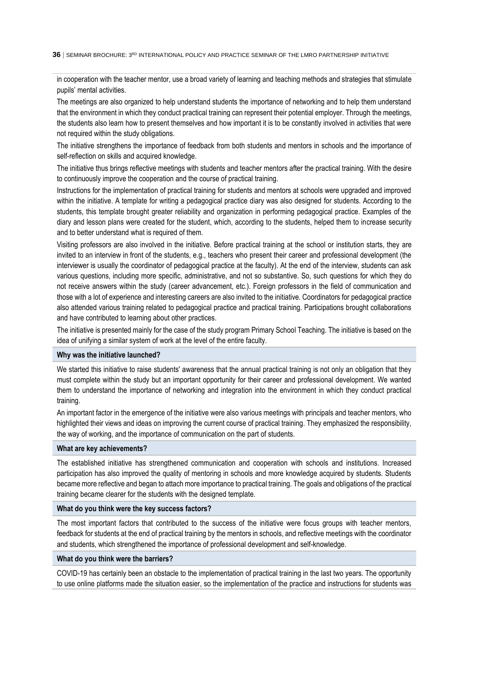in cooperation with the teacher mentor, use a broad variety of learning and teaching methods and strategies that stimulate pupils' mental activities.

The meetings are also organized to help understand students the importance of networking and to help them understand that the environment in which they conduct practical training can represent their potential employer. Through the meetings, the students also learn how to present themselves and how important it is to be constantly involved in activities that were not required within the study obligations.

The initiative strengthens the importance of feedback from both students and mentors in schools and the importance of self-reflection on skills and acquired knowledge.

The initiative thus brings reflective meetings with students and teacher mentors after the practical training. With the desire to continuously improve the cooperation and the course of practical training.

Instructions for the implementation of practical training for students and mentors at schools were upgraded and improved within the initiative. A template for writing a pedagogical practice diary was also designed for students. According to the students, this template brought greater reliability and organization in performing pedagogical practice. Examples of the diary and lesson plans were created for the student, which, according to the students, helped them to increase security and to better understand what is required of them.

Visiting professors are also involved in the initiative. Before practical training at the school or institution starts, they are invited to an interview in front of the students, e.g., teachers who present their career and professional development (the interviewer is usually the coordinator of pedagogical practice at the faculty). At the end of the interview, students can ask various questions, including more specific, administrative, and not so substantive. So, such questions for which they do not receive answers within the study (career advancement, etc.). Foreign professors in the field of communication and those with a lot of experience and interesting careers are also invited to the initiative. Coordinators for pedagogical practice also attended various training related to pedagogical practice and practical training. Participations brought collaborations and have contributed to learning about other practices.

The initiative is presented mainly for the case of the study program Primary School Teaching. The initiative is based on the idea of unifying a similar system of work at the level of the entire faculty.

#### **Why was the initiative launched?**

We started this initiative to raise students' awareness that the annual practical training is not only an obligation that they must complete within the study but an important opportunity for their career and professional development. We wanted them to understand the importance of networking and integration into the environment in which they conduct practical training.

An important factor in the emergence of the initiative were also various meetings with principals and teacher mentors, who highlighted their views and ideas on improving the current course of practical training. They emphasized the responsibility, the way of working, and the importance of communication on the part of students.

#### **What are key achievements?**

The established initiative has strengthened communication and cooperation with schools and institutions. Increased participation has also improved the quality of mentoring in schools and more knowledge acquired by students. Students became more reflective and began to attach more importance to practical training. The goals and obligations of the practical training became clearer for the students with the designed template.

#### **What do you think were the key success factors?**

The most important factors that contributed to the success of the initiative were focus groups with teacher mentors, feedback for students at the end of practical training by the mentors in schools, and reflective meetings with the coordinator and students, which strengthened the importance of professional development and self-knowledge.

#### **What do you think were the barriers?**

COVID-19 has certainly been an obstacle to the implementation of practical training in the last two years. The opportunity to use online platforms made the situation easier, so the implementation of the practice and instructions for students was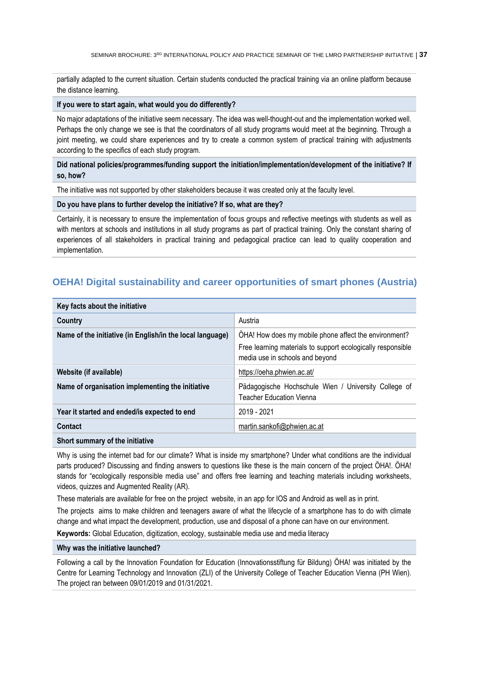partially adapted to the current situation. Certain students conducted the practical training via an online platform because the distance learning.

#### **If you were to start again, what would you do differently?**

No major adaptations of the initiative seem necessary. The idea was well-thought-out and the implementation worked well. Perhaps the only change we see is that the coordinators of all study programs would meet at the beginning. Through a joint meeting, we could share experiences and try to create a common system of practical training with adjustments according to the specifics of each study program.

#### **Did national policies/programmes/funding support the initiation/implementation/development of the initiative? If so, how?**

The initiative was not supported by other stakeholders because it was created only at the faculty level.

#### **Do you have plans to further develop the initiative? If so, what are they?**

Certainly, it is necessary to ensure the implementation of focus groups and reflective meetings with students as well as with mentors at schools and institutions in all study programs as part of practical training. Only the constant sharing of experiences of all stakeholders in practical training and pedagogical practice can lead to quality cooperation and implementation.

## <span id="page-36-0"></span>**OEHA! Digital sustainability and career opportunities of smart phones (Austria)**

| Key facts about the initiative                            |                                                                                                                                                         |
|-----------------------------------------------------------|---------------------------------------------------------------------------------------------------------------------------------------------------------|
| Country                                                   | Austria                                                                                                                                                 |
| Name of the initiative (in English/in the local language) | OHA! How does my mobile phone affect the environment?<br>Free learning materials to support ecologically responsible<br>media use in schools and beyond |
| Website (if available)                                    | https://oeha.phwien.ac.at/                                                                                                                              |
| Name of organisation implementing the initiative          | Pädagogische Hochschule Wien / University College of<br>Teacher Education Vienna                                                                        |
| Year it started and ended/is expected to end              | 2019 - 2021                                                                                                                                             |
| Contact                                                   | martin.sankofi@phwien.ac.at                                                                                                                             |
|                                                           |                                                                                                                                                         |

#### **Short summary of the initiative**

Why is using the internet bad for our climate? What is inside my smartphone? Under what conditions are the individual parts produced? Discussing and finding answers to questions like these is the main concern of the project ÖHA!. ÖHA! stands for "ecologically responsible media use" and offers free learning and teaching materials including worksheets, videos, quizzes and Augmented Reality (AR).

These materials are available for free on the project website, in an app for IOS and Android as well as in print.

The projects aims to make children and teenagers aware of what the lifecycle of a smartphone has to do with climate change and what impact the development, production, use and disposal of a phone can have on our environment.

**Keywords:** Global Education, digitization, ecology, sustainable media use and media literacy

#### **Why was the initiative launched?**

Following a call by the Innovation Foundation for Education (Innovationsstiftung für Bildung) ÖHA! was initiated by the Centre for Learning Technology and Innovation (ZLI) of the University College of Teacher Education Vienna (PH Wien). The project ran between 09/01/2019 and 01/31/2021.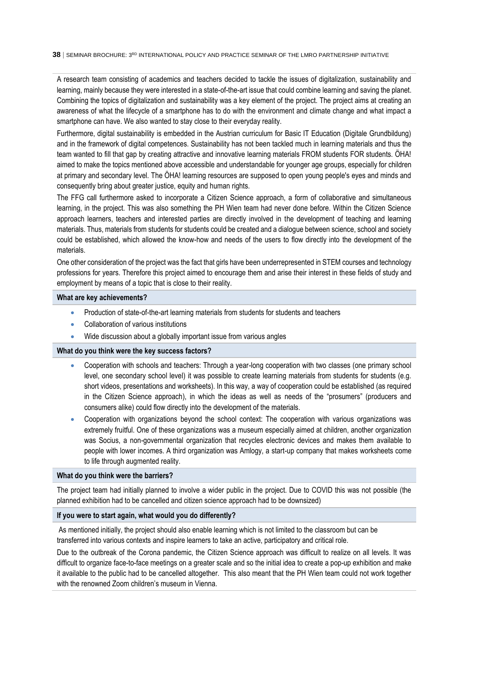A research team consisting of academics and teachers decided to tackle the issues of digitalization, sustainability and learning, mainly because they were interested in a state-of-the-art issue that could combine learning and saving the planet. Combining the topics of digitalization and sustainability was a key element of the project. The project aims at creating an awareness of what the lifecycle of a smartphone has to do with the environment and climate change and what impact a smartphone can have. We also wanted to stay close to their everyday reality.

Furthermore, digital sustainability is embedded in the Austrian curriculum for Basic IT Education (Digitale Grundbildung) and in the framework of digital competences. Sustainability has not been tackled much in learning materials and thus the team wanted to fill that gap by creating attractive and innovative learning materials FROM students FOR students. ÖHA! aimed to make the topics mentioned above accessible and understandable for younger age groups, especially for children at primary and secondary level. The ÖHA! learning resources are supposed to open young people's eyes and minds and consequently bring about greater justice, equity and human rights.

The FFG call furthermore asked to incorporate a Citizen Science approach, a form of collaborative and simultaneous learning, in the project. This was also something the PH Wien team had never done before. Within the Citizen Science approach learners, teachers and interested parties are directly involved in the development of teaching and learning materials. Thus, materials from students for students could be created and a dialogue between science, school and society could be established, which allowed the know-how and needs of the users to flow directly into the development of the materials.

One other consideration of the project was the fact that girls have been underrepresented in STEM courses and technology professions for years. Therefore this project aimed to encourage them and arise their interest in these fields of study and employment by means of a topic that is close to their reality.

#### **What are key achievements?**

- Production of state-of-the-art learning materials from students for students and teachers
- Collaboration of various institutions
- Wide discussion about a globally important issue from various angles

### **What do you think were the key success factors?**

- Cooperation with schools and teachers: Through a year-long cooperation with two classes (one primary school level, one secondary school level) it was possible to create learning materials from students for students (e.g. short videos, presentations and worksheets). In this way, a way of cooperation could be established (as required in the Citizen Science approach), in which the ideas as well as needs of the "prosumers" (producers and consumers alike) could flow directly into the development of the materials.
- Cooperation with organizations beyond the school context: The cooperation with various organizations was extremely fruitful. One of these organizations was a museum especially aimed at children, another organization was Socius, a non-governmental organization that recycles electronic devices and makes them available to people with lower incomes. A third organization was Amlogy, a start-up company that makes worksheets come to life through augmented reality.

#### **What do you think were the barriers?**

The project team had initially planned to involve a wider public in the project. Due to COVID this was not possible (the planned exhibition had to be cancelled and citizen science approach had to be downsized)

#### **If you were to start again, what would you do differently?**

As mentioned initially, the project should also enable learning which is not limited to the classroom but can be transferred into various contexts and inspire learners to take an active, participatory and critical role.

Due to the outbreak of the Corona pandemic, the Citizen Science approach was difficult to realize on all levels. It was difficult to organize face-to-face meetings on a greater scale and so the initial idea to create a pop-up exhibition and make it available to the public had to be cancelled altogether. This also meant that the PH Wien team could not work together with the renowned Zoom children's museum in Vienna.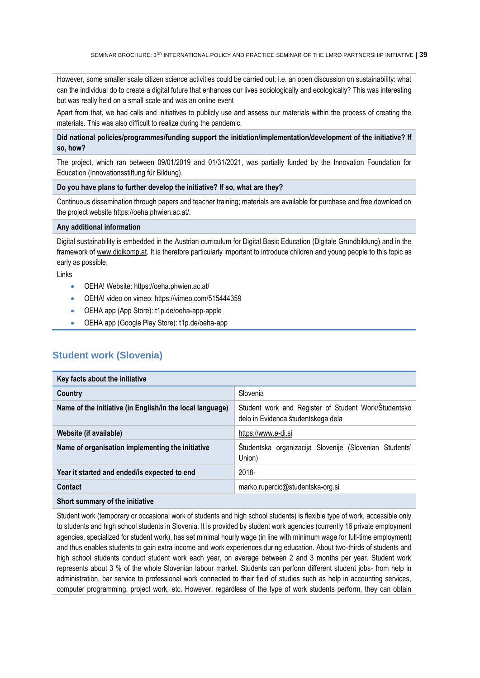However, some smaller scale citizen science activities could be carried out: i.e. an open discussion on sustainability: what can the individual do to create a digital future that enhances our lives sociologically and ecologically? This was interesting but was really held on a small scale and was an online event

Apart from that, we had calls and initiatives to publicly use and assess our materials within the process of creating the materials. This was also difficult to realize during the pandemic.

#### **Did national policies/programmes/funding support the initiation/implementation/development of the initiative? If so, how?**

The project, which ran between 09/01/2019 and 01/31/2021, was partially funded by the Innovation Foundation for Education (Innovationsstiftung für Bildung).

#### **Do you have plans to further develop the initiative? If so, what are they?**

Continuous dissemination through papers and teacher training; materials are available for purchase and free download on the project website https://oeha.phwien.ac.at/.

#### **Any additional information**

<span id="page-38-0"></span>**Student work (Slovenia)**

Digital sustainability is embedded in the Austrian curriculum for Digital Basic Education (Digitale Grundbildung) and in the framework of www.digikomp.at. It is therefore particularly important to introduce children and young people to this topic as early as possible.

Links

- OEHA! Website: https://oeha.phwien.ac.at/
- OEHA! video on vimeo: https://vimeo.com/515444359
- OEHA app (App Store): t1p.de/oeha-app-apple
- OEHA app (Google Play Store): t1p.de/oeha-app

| Key facts about the initiative                            |                                                                                            |
|-----------------------------------------------------------|--------------------------------------------------------------------------------------------|
| Country                                                   | Slovenia                                                                                   |
| Name of the initiative (in English/in the local language) | Student work and Register of Student Work/Študentsko<br>delo in Evidenca študentskega dela |
| Website (if available)                                    | https://www.e-di.si                                                                        |
| Name of organisation implementing the initiative          | Študentska organizacija Slovenije (Slovenian Students'<br>Union)                           |
| Year it started and ended/is expected to end              | 2018-                                                                                      |
| Contact                                                   | marko.rupercic@studentska-org.si                                                           |
| Short summary of the initiative                           |                                                                                            |

Student work (temporary or occasional work of students and high school students) is flexible type of work, accessible only to students and high school students in Slovenia. It is provided by student work agencies (currently 16 private employment agencies, specialized for student work), has set minimal hourly wage (in line with minimum wage for full-time employment) and thus enables students to gain extra income and work experiences during education. About two-thirds of students and high school students conduct student work each year, on average between 2 and 3 months per year. Student work represents about 3 % of the whole Slovenian labour market. Students can perform different student jobs- from help in administration, bar service to professional work connected to their field of studies such as help in accounting services, computer programming, project work, etc. However, regardless of the type of work students perform, they can obtain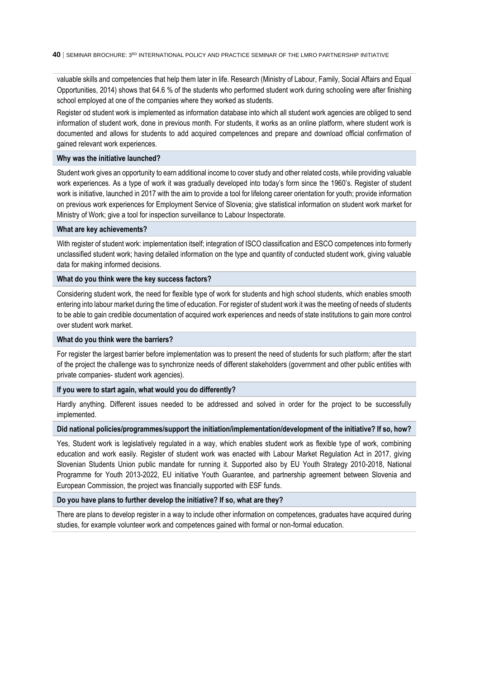valuable skills and competencies that help them later in life. Research (Ministry of Labour, Family, Social Affairs and Equal Opportunities, 2014) shows that 64.6 % of the students who performed student work during schooling were after finishing school employed at one of the companies where they worked as students.

Register od student work is implemented as information database into which all student work agencies are obliged to send information of student work, done in previous month. For students, it works as an online platform, where student work is documented and allows for students to add acquired competences and prepare and download official confirmation of gained relevant work experiences.

#### **Why was the initiative launched?**

Student work gives an opportunity to earn additional income to cover study and other related costs, while providing valuable work experiences. As a type of work it was gradually developed into today's form since the 1960's. Register of student work is initiative, launched in 2017 with the aim to provide a tool for lifelong career orientation for youth; provide information on previous work experiences for Employment Service of Slovenia; give statistical information on student work market for Ministry of Work; give a tool for inspection surveillance to Labour Inspectorate.

#### **What are key achievements?**

With register of student work: implementation itself: integration of ISCO classification and ESCO competences into formerly unclassified student work; having detailed information on the type and quantity of conducted student work, giving valuable data for making informed decisions.

#### **What do you think were the key success factors?**

Considering student work, the need for flexible type of work for students and high school students, which enables smooth entering into labour market during the time of education. For register of student work it was the meeting of needs of students to be able to gain credible documentation of acquired work experiences and needs of state institutions to gain more control over student work market.

#### **What do you think were the barriers?**

For register the largest barrier before implementation was to present the need of students for such platform; after the start of the project the challenge was to synchronize needs of different stakeholders (government and other public entities with private companies- student work agencies).

#### **If you were to start again, what would you do differently?**

Hardly anything. Different issues needed to be addressed and solved in order for the project to be successfully implemented.

#### **Did national policies/programmes/support the initiation/implementation/development of the initiative? If so, how?**

Yes, Student work is legislatively regulated in a way, which enables student work as flexible type of work, combining education and work easily. Register of student work was enacted with Labour Market Regulation Act in 2017, giving Slovenian Students Union public mandate for running it. Supported also by EU Youth Strategy 2010-2018, National Programme for Youth 2013-2022, EU initiative Youth Guarantee, and partnership agreement between Slovenia and European Commission, the project was financially supported with ESF funds.

#### **Do you have plans to further develop the initiative? If so, what are they?**

There are plans to develop register in a way to include other information on competences, graduates have acquired during studies, for example volunteer work and competences gained with formal or non-formal education.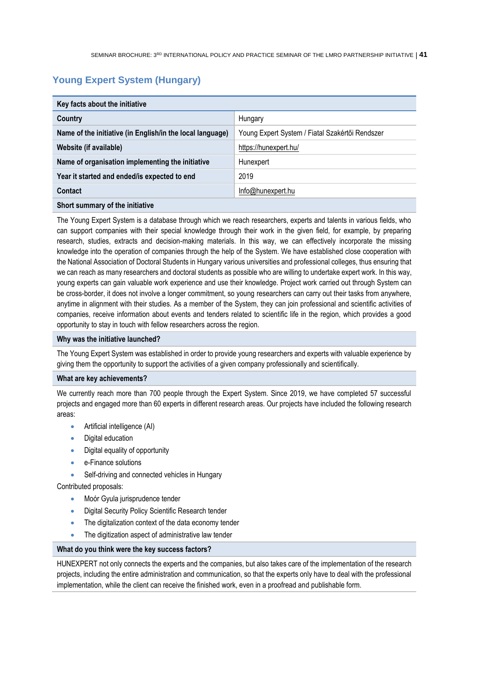## <span id="page-40-0"></span>**Young Expert System (Hungary)**

| Key facts about the initiative                            |                                                 |
|-----------------------------------------------------------|-------------------------------------------------|
| Country                                                   | Hungary                                         |
| Name of the initiative (in English/in the local language) | Young Expert System / Fiatal Szakértői Rendszer |
| Website (if available)                                    | https://hunexpert.hu/                           |
| Name of organisation implementing the initiative          | Hunexpert                                       |
| Year it started and ended/is expected to end              | 2019                                            |
| <b>Contact</b>                                            | Info@hunexpert.hu                               |
|                                                           |                                                 |

#### **Short summary of the initiative**

The Young Expert System is a database through which we reach researchers, experts and talents in various fields, who can support companies with their special knowledge through their work in the given field, for example, by preparing research, studies, extracts and decision-making materials. In this way, we can effectively incorporate the missing knowledge into the operation of companies through the help of the System. We have established close cooperation with the National Association of Doctoral Students in Hungary various universities and professional colleges, thus ensuring that we can reach as many researchers and doctoral students as possible who are willing to undertake expert work. In this way, young experts can gain valuable work experience and use their knowledge. Project work carried out through System can be cross-border, it does not involve a longer commitment, so young researchers can carry out their tasks from anywhere, anytime in alignment with their studies. As a member of the System, they can join professional and scientific activities of companies, receive information about events and tenders related to scientific life in the region, which provides a good opportunity to stay in touch with fellow researchers across the region.

#### **Why was the initiative launched?**

The Young Expert System was established in order to provide young researchers and experts with valuable experience by giving them the opportunity to support the activities of a given company professionally and scientifically.

#### **What are key achievements?**

We currently reach more than 700 people through the Expert System. Since 2019, we have completed 57 successful projects and engaged more than 60 experts in different research areas. Our projects have included the following research areas:

- Artificial intelligence (AI)
- Digital education
- Digital equality of opportunity
- e-Finance solutions
- Self-driving and connected vehicles in Hungary

Contributed proposals:

- Moór Gyula jurisprudence tender
- Digital Security Policy Scientific Research tender
- The digitalization context of the data economy tender
- The digitization aspect of administrative law tender

#### **What do you think were the key success factors?**

HUNEXPERT not only connects the experts and the companies, but also takes care of the implementation of the research projects, including the entire administration and communication, so that the experts only have to deal with the professional implementation, while the client can receive the finished work, even in a proofread and publishable form.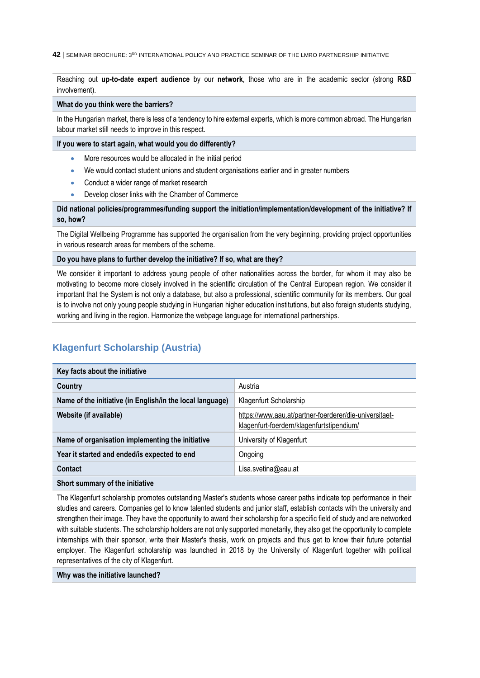Reaching out **up-to-date expert audience** by our **network**, those who are in the academic sector (strong **R&D** involvement).

**What do you think were the barriers?**

In the Hungarian market, there is less of a tendency to hire external experts, which is more common abroad. The Hungarian labour market still needs to improve in this respect.

**If you were to start again, what would you do differently?**

- More resources would be allocated in the initial period
- We would contact student unions and student organisations earlier and in greater numbers
- Conduct a wider range of market research
- **•** Develop closer links with the Chamber of Commerce

**Did national policies/programmes/funding support the initiation/implementation/development of the initiative? If so, how?**

The Digital Wellbeing Programme has supported the organisation from the very beginning, providing project opportunities in various research areas for members of the scheme.

#### **Do you have plans to further develop the initiative? If so, what are they?**

We consider it important to address young people of other nationalities across the border, for whom it may also be motivating to become more closely involved in the scientific circulation of the Central European region. We consider it important that the System is not only a database, but also a professional, scientific community for its members. Our goal is to involve not only young people studying in Hungarian higher education institutions, but also foreign students studying, working and living in the region. Harmonize the webpage language for international partnerships.

## <span id="page-41-0"></span>**Klagenfurt Scholarship (Austria)**

| Key facts about the initiative                            |                                                                                                     |
|-----------------------------------------------------------|-----------------------------------------------------------------------------------------------------|
| Country                                                   | Austria                                                                                             |
| Name of the initiative (in English/in the local language) | Klagenfurt Scholarship                                                                              |
| Website (if available)                                    | https://www.aau.at/partner-foerderer/die-universitaet-<br>klagenfurt-foerdern/klagenfurtstipendium/ |
| Name of organisation implementing the initiative          | University of Klagenfurt                                                                            |
| Year it started and ended/is expected to end              | Ongoing                                                                                             |
| Contact                                                   | Lisa.svetina@aau.at                                                                                 |
| Short summary of the initiative                           |                                                                                                     |

The Klagenfurt scholarship promotes outstanding Master's students whose career paths indicate top performance in their studies and careers. Companies get to know talented students and junior staff, establish contacts with the university and strengthen their image. They have the opportunity to award their scholarship for a specific field of study and are networked with suitable students. The scholarship holders are not only supported monetarily, they also get the opportunity to complete internships with their sponsor, write their Master's thesis, work on projects and thus get to know their future potential employer. The Klagenfurt scholarship was launched in 2018 by the University of Klagenfurt together with political representatives of the city of Klagenfurt.

#### **Why was the initiative launched?**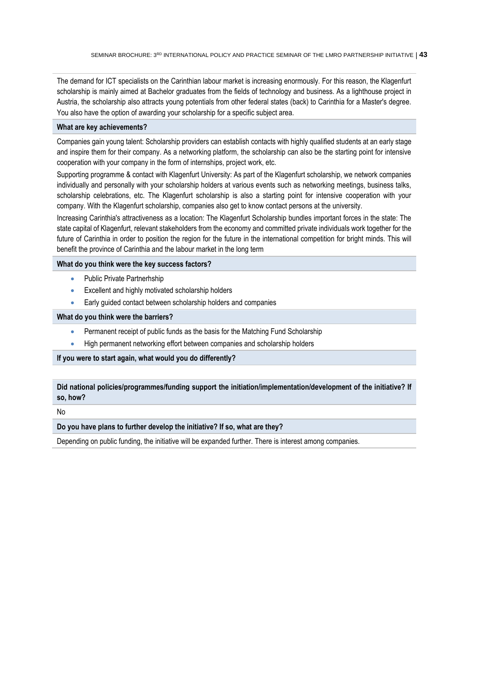The demand for ICT specialists on the Carinthian labour market is increasing enormously. For this reason, the Klagenfurt scholarship is mainly aimed at Bachelor graduates from the fields of technology and business. As a lighthouse project in Austria, the scholarship also attracts young potentials from other federal states (back) to Carinthia for a Master's degree. You also have the option of awarding your scholarship for a specific subject area.

#### **What are key achievements?**

Companies gain young talent: Scholarship providers can establish contacts with highly qualified students at an early stage and inspire them for their company. As a networking platform, the scholarship can also be the starting point for intensive cooperation with your company in the form of internships, project work, etc.

Supporting programme & contact with Klagenfurt University: As part of the Klagenfurt scholarship, we network companies individually and personally with your scholarship holders at various events such as networking meetings, business talks, scholarship celebrations, etc. The Klagenfurt scholarship is also a starting point for intensive cooperation with your company. With the Klagenfurt scholarship, companies also get to know contact persons at the university.

Increasing Carinthia's attractiveness as a location: The Klagenfurt Scholarship bundles important forces in the state: The state capital of Klagenfurt, relevant stakeholders from the economy and committed private individuals work together for the future of Carinthia in order to position the region for the future in the international competition for bright minds. This will benefit the province of Carinthia and the labour market in the long term

### **What do you think were the key success factors?**

- Public Private Partnerhship
- Excellent and highly motivated scholarship holders
- **Early guided contact between scholarship holders and companies**

#### **What do you think were the barriers?**

- Permanent receipt of public funds as the basis for the Matching Fund Scholarship
- High permanent networking effort between companies and scholarship holders

### **If you were to start again, what would you do differently?**

### **Did national policies/programmes/funding support the initiation/implementation/development of the initiative? If so, how?**

No

#### **Do you have plans to further develop the initiative? If so, what are they?**

Depending on public funding, the initiative will be expanded further. There is interest among companies.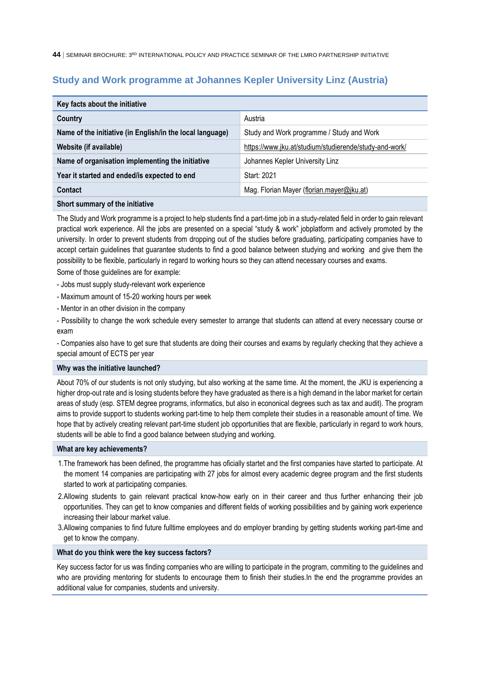## <span id="page-43-0"></span>**Study and Work programme at Johannes Kepler University Linz (Austria)**

| Key facts about the initiative                            |                                                        |
|-----------------------------------------------------------|--------------------------------------------------------|
| Country                                                   | Austria                                                |
| Name of the initiative (in English/in the local language) | Study and Work programme / Study and Work              |
| Website (if available)                                    | https://www.jku.at/studium/studierende/study-and-work/ |
| Name of organisation implementing the initiative          | Johannes Kepler University Linz                        |
| Year it started and ended/is expected to end              | Start: 2021                                            |
| Contact                                                   | Mag. Florian Mayer (florian.mayer@jku.at)              |

## **Short summary of the initiative**

The Study and Work programme is a project to help students find a part-time job in a study-related field in order to gain relevant practical work experience. All the jobs are presented on a special "study & work" jobplatform and actively promoted by the university. In order to prevent students from dropping out of the studies before graduating, participating companies have to accept certain guidelines that guarantee students to find a good balance between studying and working and give them the possibility to be flexible, particularly in regard to working hours so they can attend necessary courses and exams.

Some of those guidelines are for example:

- Jobs must supply study-relevant work experience
- Maximum amount of 15-20 working hours per week
- Mentor in an other division in the company

- Possibility to change the work schedule every semester to arrange that students can attend at every necessary course or exam

- Companies also have to get sure that students are doing their courses and exams by regularly checking that they achieve a special amount of ECTS per year

#### **Why was the initiative launched?**

About 70% of our students is not only studying, but also working at the same time. At the moment, the JKU is experiencing a higher drop-out rate and is losing students before they have graduated as there is a high demand in the labor market for certain areas of study (esp. STEM degree programs, informatics, but also in econonical degrees such as tax and audit). The program aims to provide support to students working part-time to help them complete their studies in a reasonable amount of time. We hope that by actively creating relevant part-time student job opportunities that are flexible, particularly in regard to work hours, students will be able to find a good balance between studying and working.

#### **What are key achievements?**

- 1.The framework has been defined, the programme has oficially startet and the first companies have started to participate. At the moment 14 companies are participating with 27 jobs for almost every academic degree program and the first students started to work at participating companies.
- 2.Allowing students to gain relevant practical know-how early on in their career and thus further enhancing their job opportunities. They can get to know companies and different fields of working possibilities and by gaining work experience increasing their labour market value.
- 3.Allowing companies to find future fulltime employees and do employer branding by getting students working part-time and get to know the company.

## **What do you think were the key success factors?**

Key success factor for us was finding companies who are willing to participate in the program, commiting to the guidelines and who are providing mentoring for students to encourage them to finish their studies.In the end the programme provides an additional value for companies, students and university.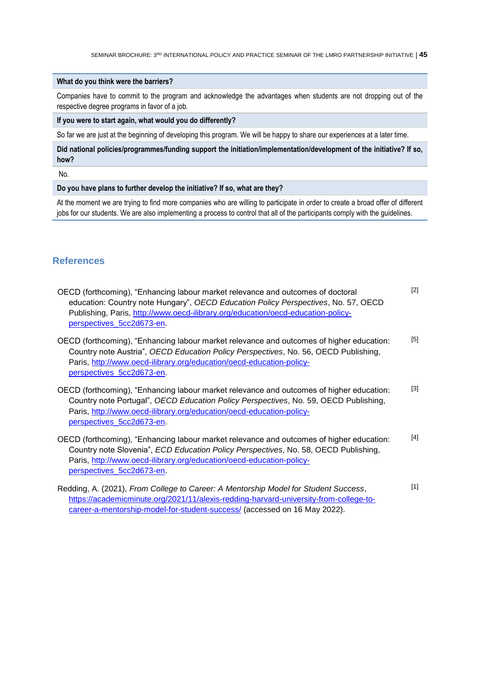#### **What do you think were the barriers?**

Companies have to commit to the program and acknowledge the advantages when students are not dropping out of the respective degree programs in favor of a job.

**If you were to start again, what would you do differently?**

So far we are just at the beginning of developing this program. We will be happy to share our experiences at a later time.

**Did national policies/programmes/funding support the initiation/implementation/development of the initiative? If so, how?**

No.

**Do you have plans to further develop the initiative? If so, what are they?**

<span id="page-44-0"></span>At the moment we are trying to find more companies who are willing to participate in order to create a broad offer of different jobs for our students. We are also implementing a process to control that all of the participants comply with the guidelines.

## **References**

| OECD (forthcoming), "Enhancing labour market relevance and outcomes of doctoral<br>education: Country note Hungary", OECD Education Policy Perspectives, No. 57, OECD<br>Publishing, Paris, http://www.oecd-ilibrary.org/education/oecd-education-policy-<br>perspectives 5cc2d673-en | $[2]$ |
|---------------------------------------------------------------------------------------------------------------------------------------------------------------------------------------------------------------------------------------------------------------------------------------|-------|
| OECD (forthcoming), "Enhancing labour market relevance and outcomes of higher education:<br>Country note Austria", OECD Education Policy Perspectives, No. 56, OECD Publishing,<br>Paris, http://www.oecd-ilibrary.org/education/oecd-education-policy-<br>perspectives 5cc2d673-en.  | $[5]$ |
| OECD (forthcoming), "Enhancing labour market relevance and outcomes of higher education:<br>Country note Portugal", OECD Education Policy Perspectives, No. 59, OECD Publishing,<br>Paris, http://www.oecd-ilibrary.org/education/oecd-education-policy-<br>perspectives_5cc2d673-en. | $[3]$ |
| OECD (forthcoming), "Enhancing labour market relevance and outcomes of higher education:<br>Country note Slovenia", ECD Education Policy Perspectives, No. 58, OECD Publishing,<br>Paris, http://www.oecd-ilibrary.org/education/oecd-education-policy-<br>perspectives_5cc2d673-en.  | $[4]$ |
| Redding, A. (2021), From College to Career: A Mentorship Model for Student Success,<br>https://academicminute.org/2021/11/alexis-redding-harvard-university-from-college-to-<br>career-a-mentorship-model-for-student-success/ (accessed on 16 May 2022).                             | $[1]$ |